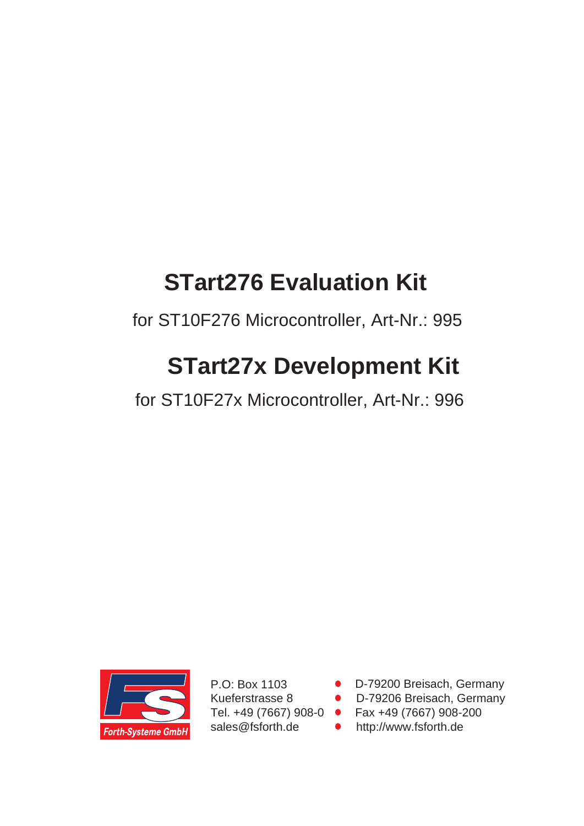# **STart276 Evaluation Kit**

for ST10F276 Microcontroller, Art-Nr.: 995

# **STart27x Development Kit**

for ST10F27x Microcontroller, Art-Nr.: 996



P.O: Box 1103 Kueferstrasse 8 Tel. +49 (7667) 908-0 sales@fsforth.de

- D-79200 Breisach, Germany
- D-79206 Breisach, Germany
- Fax +49 (7667) 908-200
- http://www.fsforth.de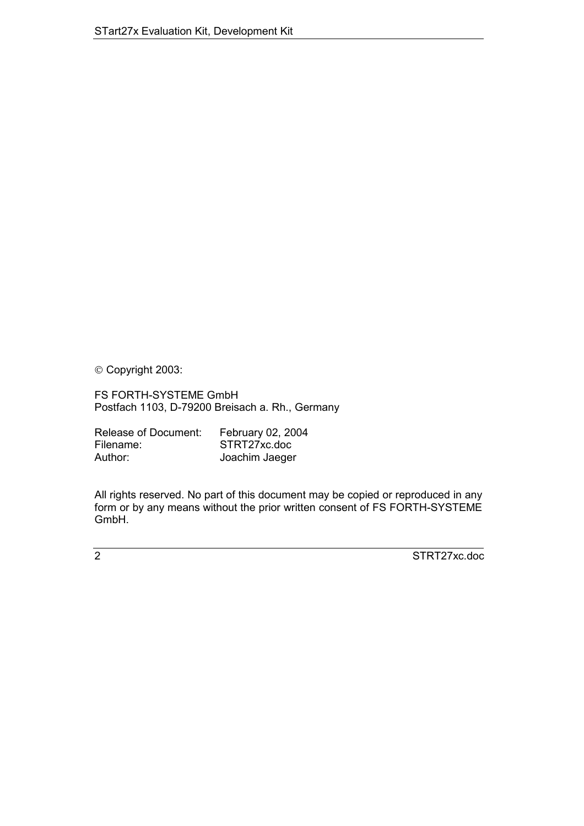Copyright 2003:

FS FORTH-SYSTEME GmbH Postfach 1103, D-79200 Breisach a. Rh., Germany

| Release of Document: | February 02, 2004 |
|----------------------|-------------------|
| Filename:            | STRT27xc.doc      |
| Author:              | Joachim Jaeger    |

All rights reserved. No part of this document may be copied or reproduced in any form or by any means without the prior written consent of FS FORTH-SYSTEME GmbH.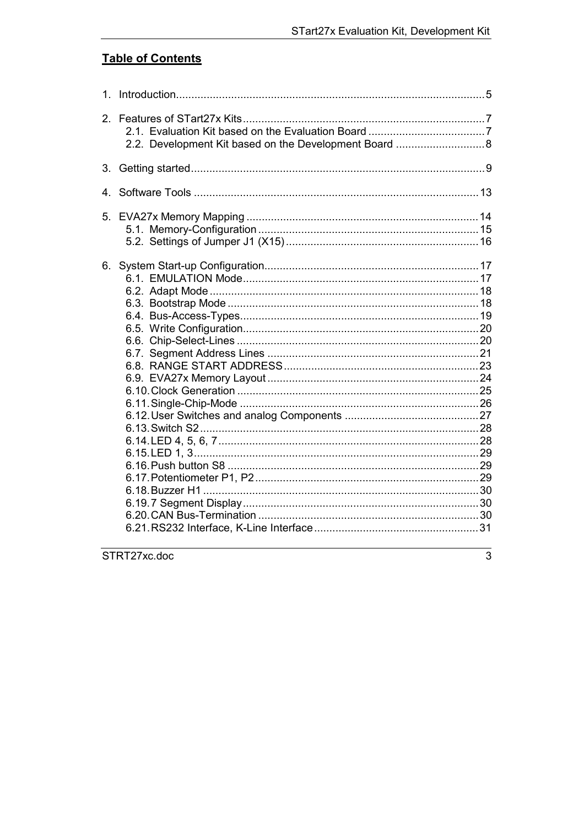# **Table of Contents**

| 1.             |  |
|----------------|--|
| 2 <sub>1</sub> |  |
| 3.             |  |
| 4.             |  |
| 5.             |  |
| 6.             |  |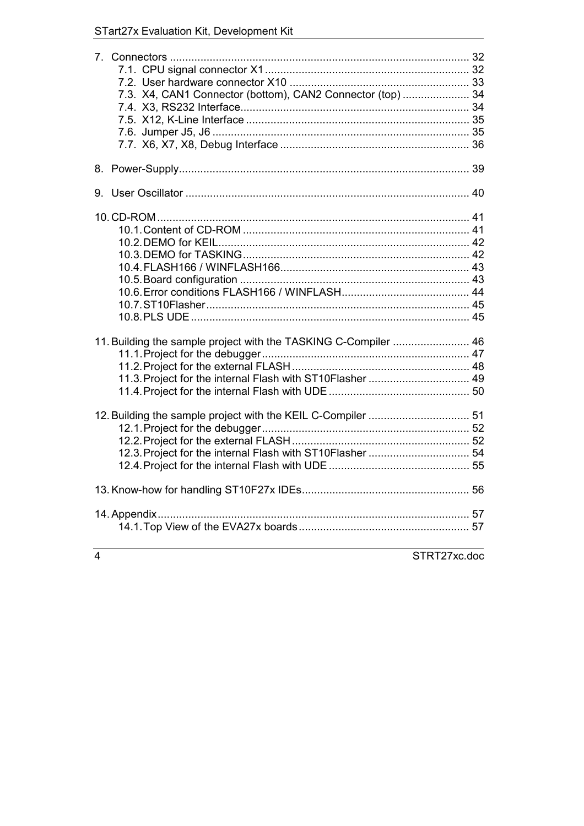# STart27x Evaluation Kit, Development Kit

| 7.3. X4, CAN1 Connector (bottom), CAN2 Connector (top)  34                                                                   |  |
|------------------------------------------------------------------------------------------------------------------------------|--|
|                                                                                                                              |  |
|                                                                                                                              |  |
|                                                                                                                              |  |
| 11. Building the sample project with the TASKING C-Compiler  46<br>11.3. Project for the internal Flash with ST10Flasher  49 |  |
|                                                                                                                              |  |
|                                                                                                                              |  |
|                                                                                                                              |  |
|                                                                                                                              |  |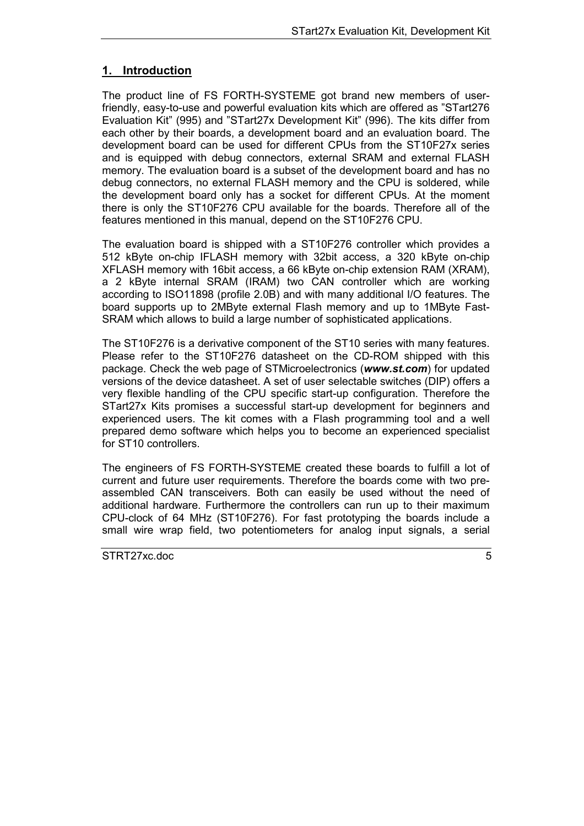# <span id="page-4-0"></span>**1. Introduction**

The product line of FS FORTH-SYSTEME got brand new members of userfriendly, easy-to-use and powerful evaluation kits which are offered as "STart276 Evaluation Kit" (995) and "STart27x Development Kit" (996). The kits differ from each other by their boards, a development board and an evaluation board. The development board can be used for different CPUs from the ST10F27x series and is equipped with debug connectors, external SRAM and external FLASH memory. The evaluation board is a subset of the development board and has no debug connectors, no external FLASH memory and the CPU is soldered, while the development board only has a socket for different CPUs. At the moment there is only the ST10F276 CPU available for the boards. Therefore all of the features mentioned in this manual, depend on the ST10F276 CPU.

The evaluation board is shipped with a ST10F276 controller which provides a 512 kByte on-chip IFLASH memory with 32bit access, a 320 kByte on-chip XFLASH memory with 16bit access, a 66 kByte on-chip extension RAM (XRAM), a 2 kByte internal SRAM (IRAM) two CAN controller which are working according to ISO11898 (profile 2.0B) and with many additional I/O features. The board supports up to 2MByte external Flash memory and up to 1MByte Fast-SRAM which allows to build a large number of sophisticated applications.

The ST10F276 is a derivative component of the ST10 series with many features. Please refer to the ST10F276 datasheet on the CD-ROM shipped with this package. Check the web page of STMicroelectronics (*www.st.com*) for updated versions of the device datasheet. A set of user selectable switches (DIP) offers a very flexible handling of the CPU specific start-up configuration. Therefore the STart27x Kits promises a successful start-up development for beginners and experienced users. The kit comes with a Flash programming tool and a well prepared demo software which helps you to become an experienced specialist for ST10 controllers.

The engineers of FS FORTH-SYSTEME created these boards to fulfill a lot of current and future user requirements. Therefore the boards come with two preassembled CAN transceivers. Both can easily be used without the need of additional hardware. Furthermore the controllers can run up to their maximum CPU-clock of 64 MHz (ST10F276). For fast prototyping the boards include a small wire wrap field, two potentiometers for analog input signals, a serial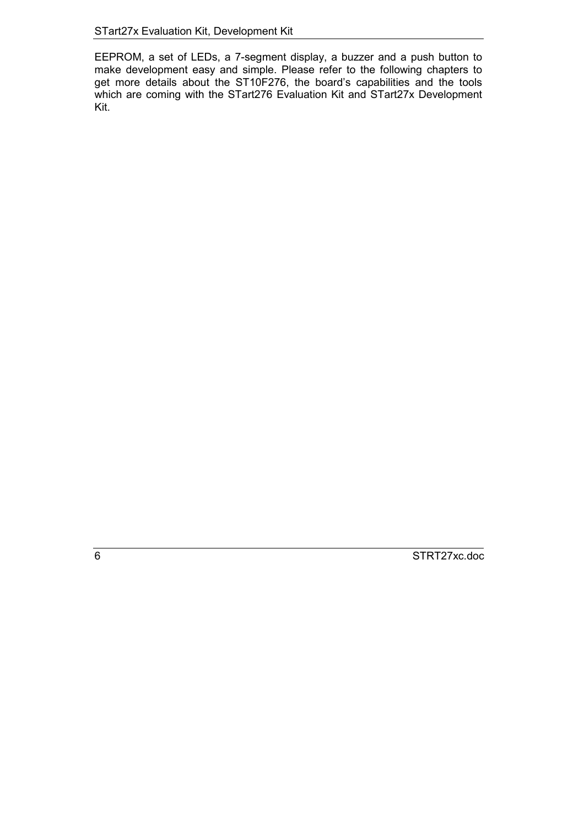EEPROM, a set of LEDs, a 7-segment display, a buzzer and a push button to make development easy and simple. Please refer to the following chapters to get more details about the ST10F276, the board's capabilities and the tools which are coming with the STart276 Evaluation Kit and STart27x Development Kit.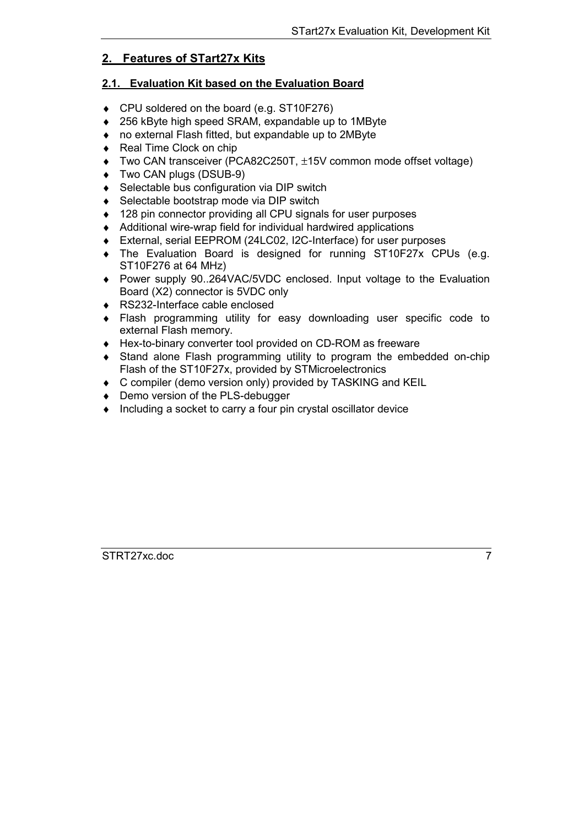# <span id="page-6-0"></span>**2. Features of STart27x Kits**

# **2.1. Evaluation Kit based on the Evaluation Board**

- ♦ CPU soldered on the board (e.g. ST10F276)
- ♦ 256 kByte high speed SRAM, expandable up to 1MByte
- ♦ no external Flash fitted, but expandable up to 2MByte
- ◆ Real Time Clock on chip
- ♦ Two CAN transceiver (PCA82C250T, ±15V common mode offset voltage)
- ♦ Two CAN plugs (DSUB-9)
- ♦ Selectable bus configuration via DIP switch
- ♦ Selectable bootstrap mode via DIP switch
- ♦ 128 pin connector providing all CPU signals for user purposes
- ♦ Additional wire-wrap field for individual hardwired applications
- ♦ External, serial EEPROM (24LC02, I2C-Interface) for user purposes
- ♦ The Evaluation Board is designed for running ST10F27x CPUs (e.g. ST10F276 at 64 MHz)
- ♦ Power supply 90..264VAC/5VDC enclosed. Input voltage to the Evaluation Board (X2) connector is 5VDC only
- ♦ RS232-Interface cable enclosed
- ♦ Flash programming utility for easy downloading user specific code to external Flash memory.
- ♦ Hex-to-binary converter tool provided on CD-ROM as freeware
- ♦ Stand alone Flash programming utility to program the embedded on-chip Flash of the ST10F27x, provided by STMicroelectronics
- ♦ C compiler (demo version only) provided by TASKING and KEIL
- ♦ Demo version of the PLS-debugger
- ♦ Including a socket to carry a four pin crystal oscillator device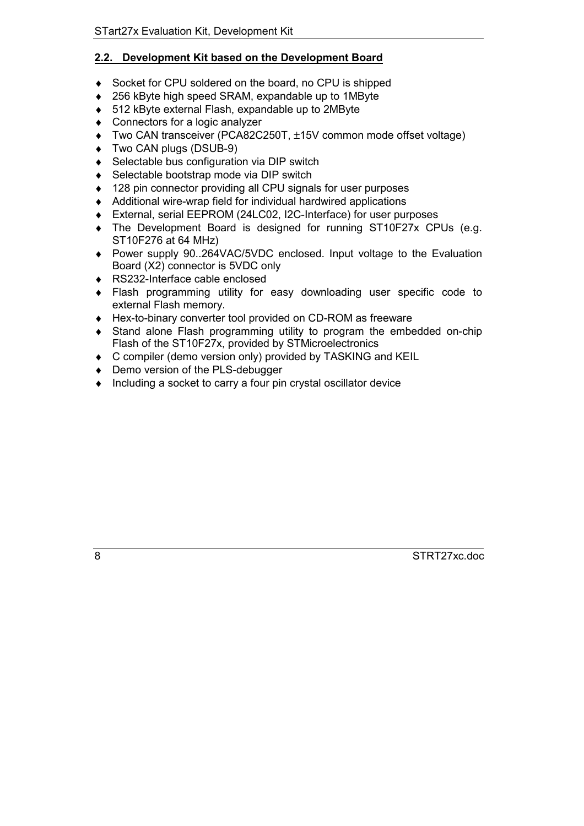# <span id="page-7-0"></span>**2.2. Development Kit based on the Development Board**

- ♦ Socket for CPU soldered on the board, no CPU is shipped
- ♦ 256 kByte high speed SRAM, expandable up to 1MByte
- ♦ 512 kByte external Flash, expandable up to 2MByte
- ♦ Connectors for a logic analyzer
- ♦ Two CAN transceiver (PCA82C250T, ±15V common mode offset voltage)
- ♦ Two CAN plugs (DSUB-9)
- ♦ Selectable bus configuration via DIP switch
- ♦ Selectable bootstrap mode via DIP switch
- ♦ 128 pin connector providing all CPU signals for user purposes
- ♦ Additional wire-wrap field for individual hardwired applications
- ♦ External, serial EEPROM (24LC02, I2C-Interface) for user purposes
- ♦ The Development Board is designed for running ST10F27x CPUs (e.g. ST10F276 at 64 MHz)
- ♦ Power supply 90..264VAC/5VDC enclosed. Input voltage to the Evaluation Board (X2) connector is 5VDC only
- ♦ RS232-Interface cable enclosed
- ♦ Flash programming utility for easy downloading user specific code to external Flash memory.
- ♦ Hex-to-binary converter tool provided on CD-ROM as freeware
- ♦ Stand alone Flash programming utility to program the embedded on-chip Flash of the ST10F27x, provided by STMicroelectronics
- ♦ C compiler (demo version only) provided by TASKING and KEIL
- ♦ Demo version of the PLS-debugger
- ♦ Including a socket to carry a four pin crystal oscillator device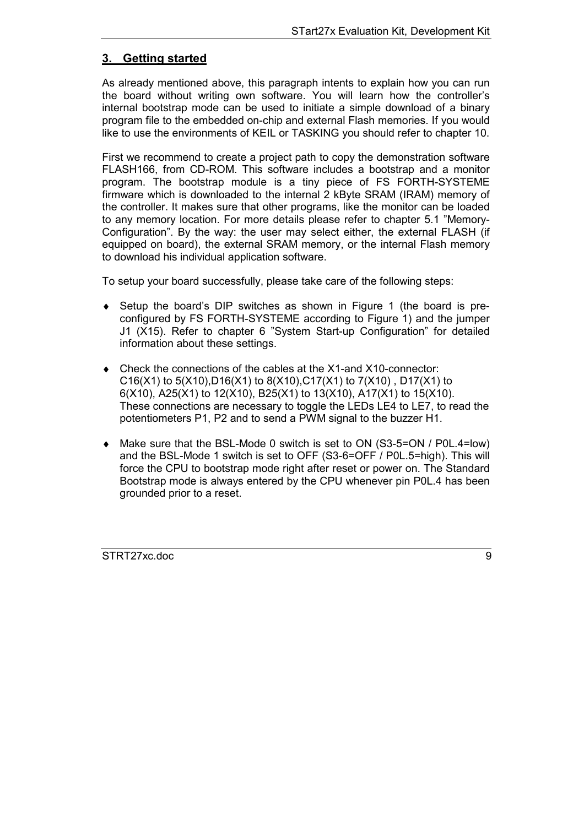# <span id="page-8-0"></span>**3. Getting started**

As already mentioned above, this paragraph intents to explain how you can run the board without writing own software. You will learn how the controller's internal bootstrap mode can be used to initiate a simple download of a binary program file to the embedded on-chip and external Flash memories. If you would like to use the environments of KEIL or TASKING you should refer to chapter [10.](#page-40-0)

First we recommend to create a project path to copy the demonstration software FLASH166, from CD-ROM. This software includes a bootstrap and a monitor program. The bootstrap module is a tiny piece of FS FORTH-SYSTEME firmware which is downloaded to the internal 2 kByte SRAM (IRAM) memory of the controller. It makes sure that other programs, like the monitor can be loaded to any memory location. For more details please refer to chapter [5.1](#page-14-0) "[Memory-](#page-14-0)[Configuration"](#page-14-0). By the way: the user may select either, the external FLASH (if equipped on board), the external SRAM memory, or the internal Flash memory to download his individual application software.

To setup your board successfully, please take care of the following steps:

- ♦ Setup the board's DIP switches as shown in Figure 1 (the board is preconfigured by FS FORTH-SYSTEME according to Figure 1) and the jumper J1 (X15). Refer to chapter [6](#page-16-0) "[System Start-up Configuration"](#page-16-0) for detailed information about these settings.
- ♦ Check the connections of the cables at the X1-and X10-connector: C16(X1) to 5(X10), D16(X1) to 8(X10), C17(X1) to 7(X10), D17(X1) to 6(X10), A25(X1) to 12(X10), B25(X1) to 13(X10), A17(X1) to 15(X10). These connections are necessary to toggle the LEDs LE4 to LE7, to read the potentiometers P1, P2 and to send a PWM signal to the buzzer H1.
- ♦ Make sure that the BSL-Mode 0 switch is set to ON (S3-5=ON / P0L.4=low) and the BSL-Mode 1 switch is set to OFF (S3-6=OFF / P0L.5=high). This will force the CPU to bootstrap mode right after reset or power on. The Standard Bootstrap mode is always entered by the CPU whenever pin P0L.4 has been grounded prior to a reset.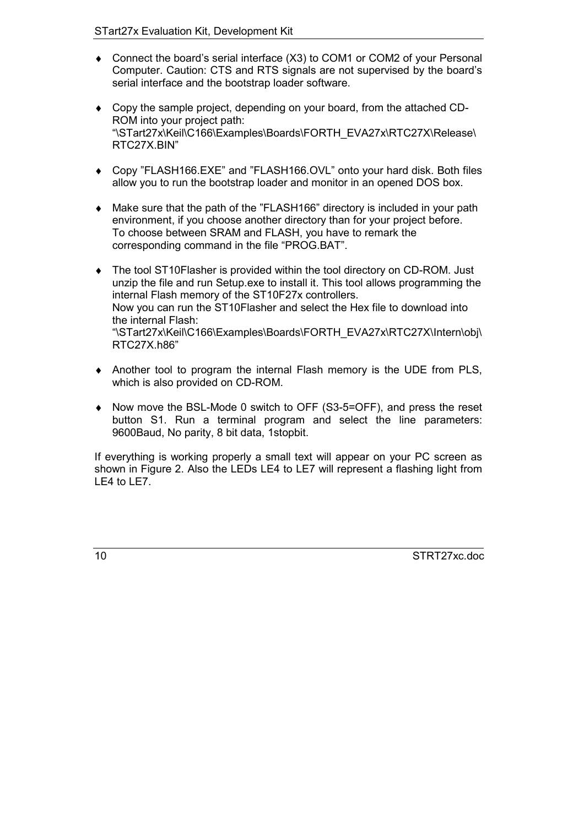- ♦ Connect the board's serial interface (X3) to COM1 or COM2 of your Personal Computer. Caution: CTS and RTS signals are not supervised by the board's serial interface and the bootstrap loader software.
- ♦ Copy the sample project, depending on your board, from the attached CD-ROM into your project path: "\STart27x\Keil\C166\Examples\Boards\FORTH\_EVA27x\RTC27X\Release\ RTC27X.BIN"
- ♦ Copy "FLASH166.EXE" and "FLASH166.OVL" onto your hard disk. Both files allow you to run the bootstrap loader and monitor in an opened DOS box.
- ♦ Make sure that the path of the "FLASH166" directory is included in your path environment, if you choose another directory than for your project before. To choose between SRAM and FLASH, you have to remark the corresponding command in the file "PROG.BAT".
- ♦ The tool ST10Flasher is provided within the tool directory on CD-ROM. Just unzip the file and run Setup.exe to install it. This tool allows programming the internal Flash memory of the ST10F27x controllers. Now you can run the ST10Flasher and select the Hex file to download into the internal Flash: "\STart27x\Keil\C166\Examples\Boards\FORTH\_EVA27x\RTC27X\Intern\obj\ RTC27X.h86"
- ♦ Another tool to program the internal Flash memory is the UDE from PLS, which is also provided on CD-ROM.
- ♦ Now move the BSL-Mode 0 switch to OFF (S3-5=OFF), and press the reset button S1. Run a terminal program and select the line parameters: 9600Baud, No parity, 8 bit data, 1stopbit.

If everything is working properly a small text will appear on your PC screen as shown in Figure 2. Also the LEDs LE4 to LE7 will represent a flashing light from LE4 to LE7.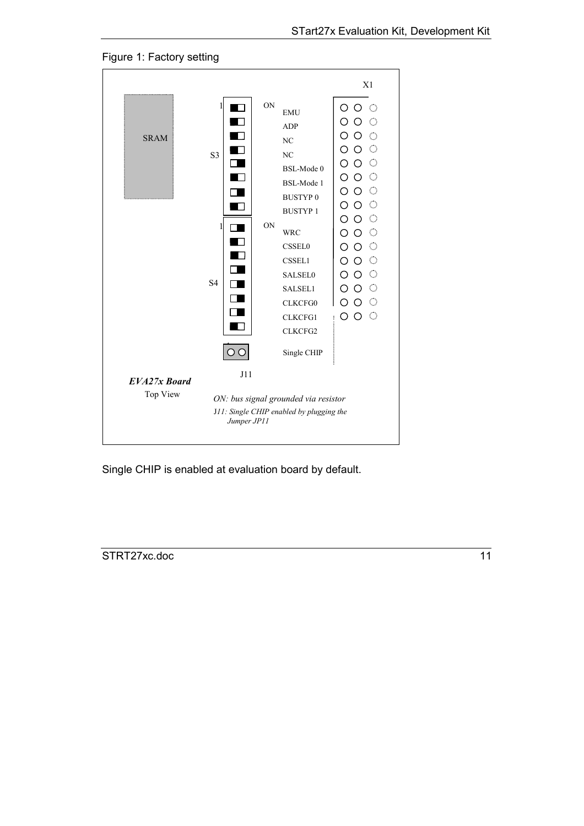



Single CHIP is enabled at evaluation board by default.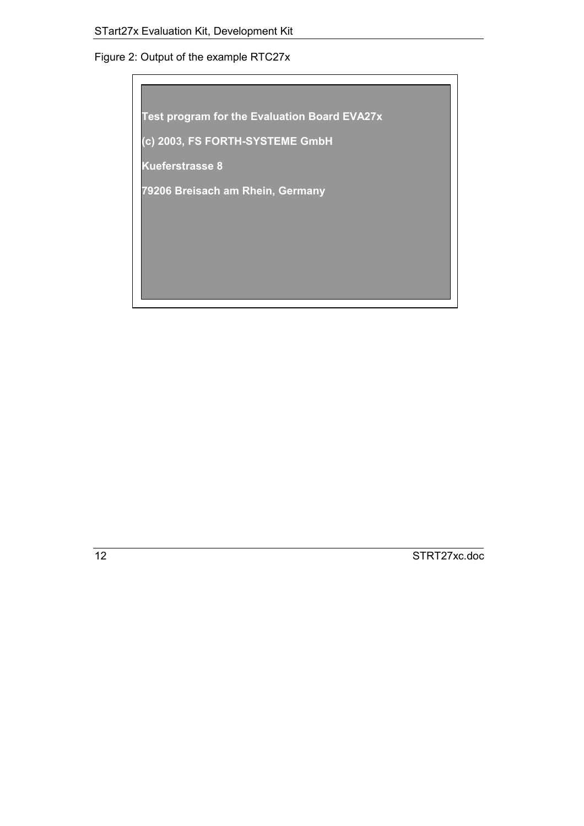# Figure 2: Output of the example RTC27x

**Test program for the Evaluation Board EVA27x**

**(c) 2003, FS FORTH-SYSTEME GmbH**

**Kueferstrasse 8**

**79206 Breisach am Rhein, Germany**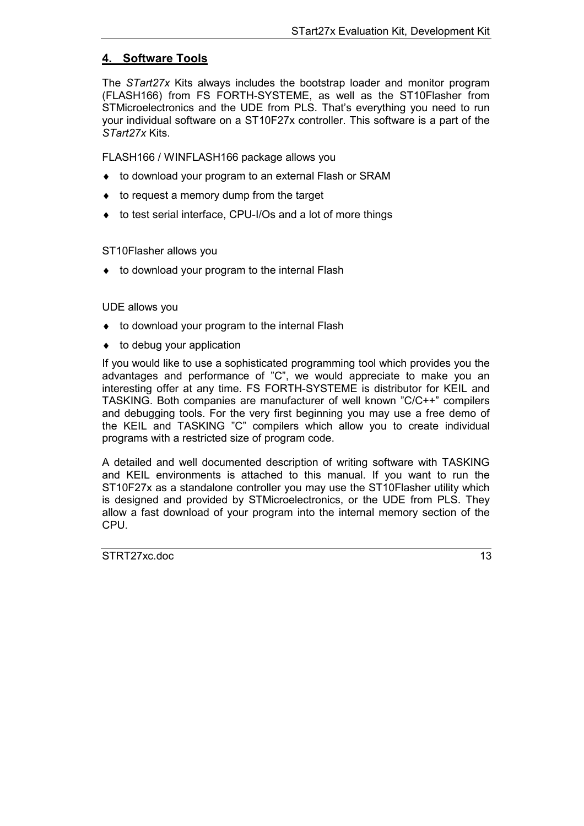# <span id="page-12-0"></span>**4. Software Tools**

The *STart27x* Kits always includes the bootstrap loader and monitor program (FLASH166) from FS FORTH-SYSTEME, as well as the ST10Flasher from STMicroelectronics and the UDE from PLS. That's everything you need to run your individual software on a ST10F27x controller. This software is a part of the *STart27x* Kits.

FLASH166 / WINFLASH166 package allows you

- ♦ to download your program to an external Flash or SRAM
- ♦ to request a memory dump from the target
- ♦ to test serial interface, CPU-I/Os and a lot of more things

#### ST10Flasher allows you

◆ to download your program to the internal Flash

#### UDE allows you

- ♦ to download your program to the internal Flash
- $\bullet$  to debug your application

If you would like to use a sophisticated programming tool which provides you the advantages and performance of "C", we would appreciate to make you an interesting offer at any time. FS FORTH-SYSTEME is distributor for KEIL and TASKING. Both companies are manufacturer of well known "C/C++" compilers and debugging tools. For the very first beginning you may use a free demo of the KEIL and TASKING "C" compilers which allow you to create individual programs with a restricted size of program code.

A detailed and well documented description of writing software with TASKING and KEIL environments is attached to this manual. If you want to run the ST10F27x as a standalone controller you may use the ST10Flasher utility which is designed and provided by STMicroelectronics, or the UDE from PLS. They allow a fast download of your program into the internal memory section of the CPU.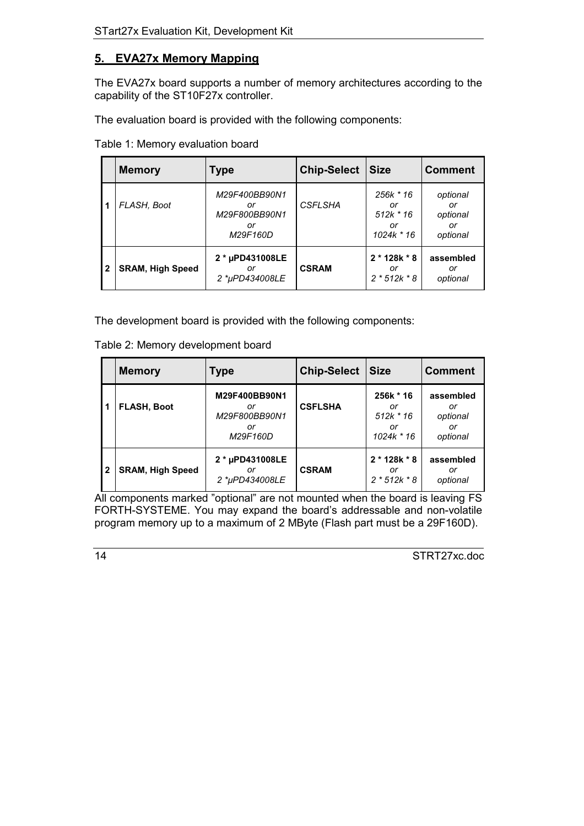# <span id="page-13-0"></span>**5. EVA27x Memory Mapping**

The EVA27x board supports a number of memory architectures according to the capability of the ST10F27x controller.

The evaluation board is provided with the following components:

Table 1: Memory evaluation board

|              | <b>Memory</b>           | <b>Type</b>                                            | <b>Chip-Select</b> | <b>Size</b>                                        | <b>Comment</b>                               |
|--------------|-------------------------|--------------------------------------------------------|--------------------|----------------------------------------------------|----------------------------------------------|
|              | FLASH, Boot             | M29F400BB90N1<br>or<br>M29F800BB90N1<br>or<br>M29F160D | <b>CSFLSHA</b>     | 256k * 16<br>or<br>$512k * 16$<br>or<br>1024k * 16 | optional<br>or<br>optional<br>or<br>optional |
| $\mathbf{2}$ | <b>SRAM, High Speed</b> | 2 * µPD431008LE<br>or<br>2 *uPD434008LE                | <b>CSRAM</b>       | $2 * 128k * 8$<br>or<br>$2 * 512k * 8$             | assembled<br>or<br>optional                  |

The development board is provided with the following components:

|  | Table 2: Memory development board |  |  |
|--|-----------------------------------|--|--|
|  |                                   |  |  |

|              | <b>Memory</b>           | <b>Type</b>                                            | <b>Chip-Select</b> | <b>Size</b>                                        | <b>Comment</b>                                |
|--------------|-------------------------|--------------------------------------------------------|--------------------|----------------------------------------------------|-----------------------------------------------|
|              | <b>FLASH, Boot</b>      | M29F400BB90N1<br>or<br>M29F800BB90N1<br>or<br>M29F160D | <b>CSFLSHA</b>     | 256k * 16<br>or<br>$512k * 16$<br>or<br>1024k * 16 | assembled<br>or<br>optional<br>or<br>optional |
| $\mathbf{2}$ | <b>SRAM, High Speed</b> | 2 * µPD431008LE<br>or<br>2 *uPD434008LE                | <b>CSRAM</b>       | $2 * 128k * 8$<br>or<br>$2 * 512k * 8$             | assembled<br>or<br>optional                   |

All components marked "optional" are not mounted when the board is leaving FS FORTH-SYSTEME. You may expand the board's addressable and non-volatile program memory up to a maximum of 2 MByte (Flash part must be a 29F160D).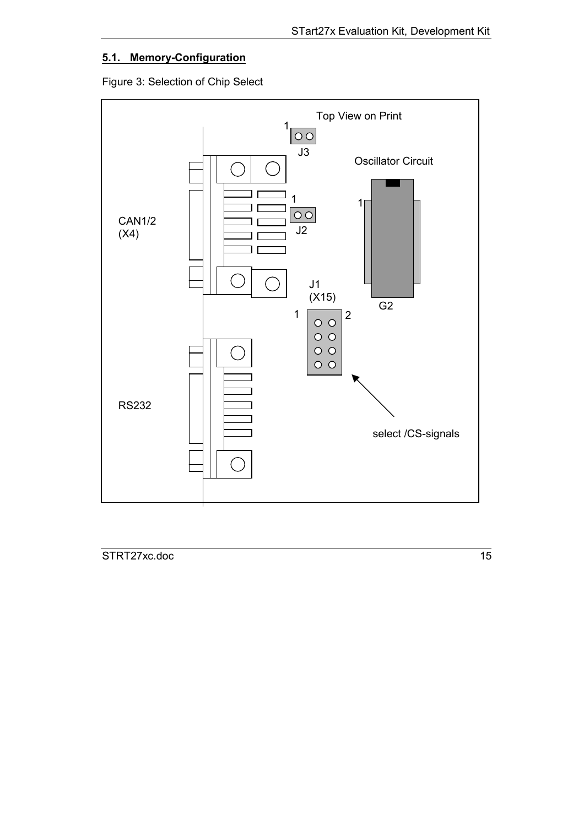# <span id="page-14-0"></span>**5.1. Memory-Configuration**

Figure 3: Selection of Chip Select

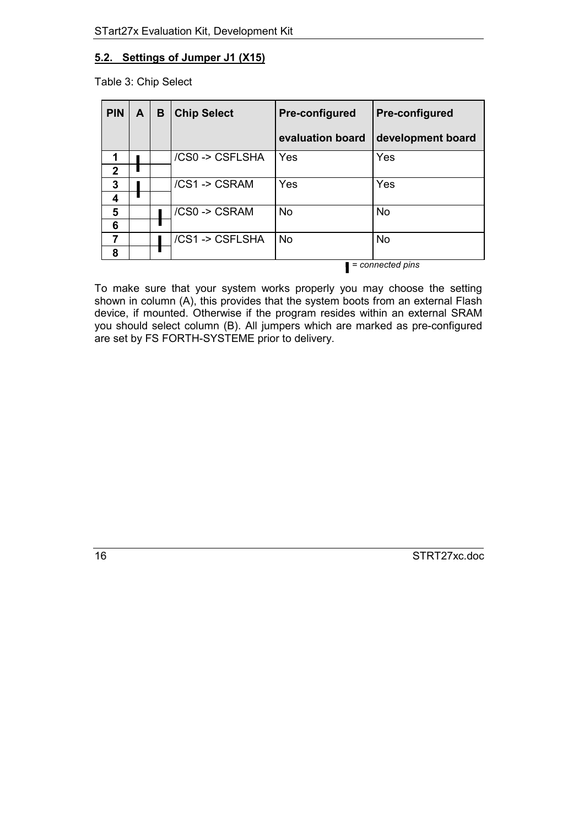## <span id="page-15-0"></span>**5.2. Settings of Jumper J1 (X15)**

Table 3: Chip Select

| <b>PIN</b>   | A                | B | <b>Chip Select</b> | Pre-configured   | <b>Pre-configured</b> |  |
|--------------|------------------|---|--------------------|------------------|-----------------------|--|
|              |                  |   |                    | evaluation board | development board     |  |
| 1            |                  |   | /CS0 -> CSFLSHA    | Yes              | Yes                   |  |
| $\mathbf{2}$ |                  |   |                    |                  |                       |  |
| 3            |                  |   | /CS1 -> CSRAM      | Yes              | Yes                   |  |
| 4            |                  |   |                    |                  |                       |  |
| 5            |                  |   | /CS0 -> CSRAM      | <b>No</b>        | <b>No</b>             |  |
| 6            |                  |   |                    |                  |                       |  |
| 7            |                  |   | /CS1 -> CSFLSHA    | <b>No</b>        | <b>No</b>             |  |
| 8            |                  |   |                    |                  |                       |  |
|              | = connected pins |   |                    |                  |                       |  |

To make sure that your system works properly you may choose the setting shown in column (A), this provides that the system boots from an external Flash device, if mounted. Otherwise if the program resides within an external SRAM you should select column (B). All jumpers which are marked as pre-configured are set by FS FORTH-SYSTEME prior to delivery.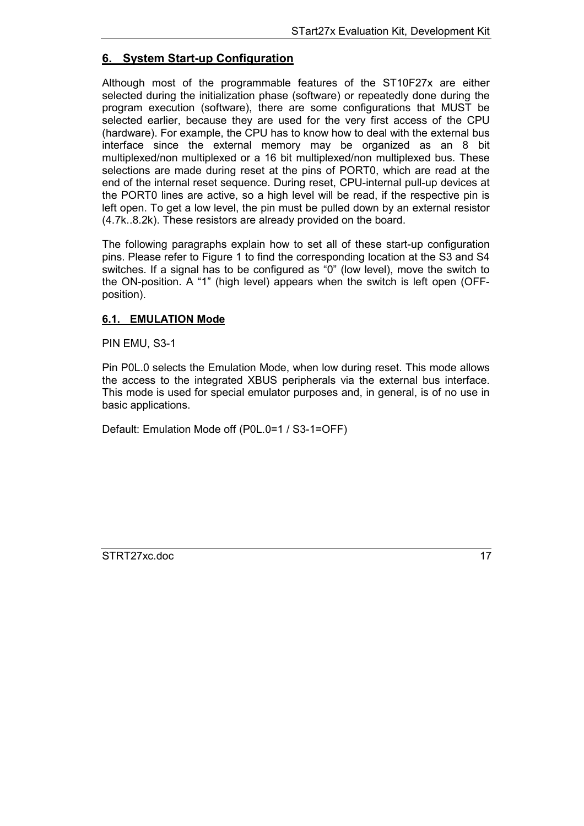# <span id="page-16-0"></span>**6. System Start-up Configuration**

Although most of the programmable features of the ST10F27x are either selected during the initialization phase (software) or repeatedly done during the program execution (software), there are some configurations that MUST be selected earlier, because they are used for the very first access of the CPU (hardware). For example, the CPU has to know how to deal with the external bus interface since the external memory may be organized as an 8 bit multiplexed/non multiplexed or a 16 bit multiplexed/non multiplexed bus. These selections are made during reset at the pins of PORT0, which are read at the end of the internal reset sequence. During reset, CPU-internal pull-up devices at the PORT0 lines are active, so a high level will be read, if the respective pin is left open. To get a low level, the pin must be pulled down by an external resistor (4.7k..8.2k). These resistors are already provided on the board.

The following paragraphs explain how to set all of these start-up configuration pins. Please refer to Figure 1 to find the corresponding location at the S3 and S4 switches. If a signal has to be configured as "0" (low level), move the switch to the ON-position. A "1" (high level) appears when the switch is left open (OFFposition).

## **6.1. EMULATION Mode**

PIN EMU, S3-1

Pin P0L.0 selects the Emulation Mode, when low during reset. This mode allows the access to the integrated XBUS peripherals via the external bus interface. This mode is used for special emulator purposes and, in general, is of no use in basic applications.

Default: Emulation Mode off (P0L.0=1 / S3-1=OFF)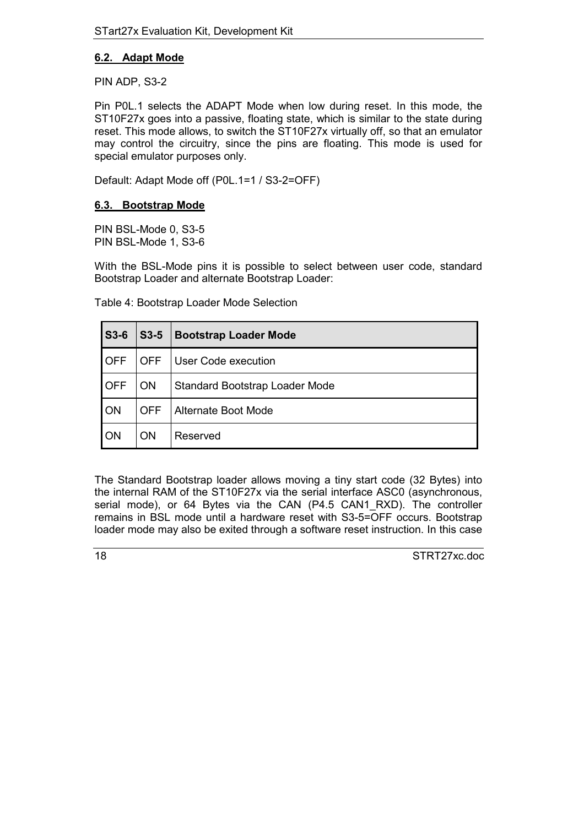## <span id="page-17-0"></span>**6.2. Adapt Mode**

PIN ADP, S3-2

Pin P0L.1 selects the ADAPT Mode when low during reset. In this mode, the ST10F27x goes into a passive, floating state, which is similar to the state during reset. This mode allows, to switch the ST10F27x virtually off, so that an emulator may control the circuitry, since the pins are floating. This mode is used for special emulator purposes only.

Default: Adapt Mode off (P0L.1=1 / S3-2=OFF)

#### **6.3. Bootstrap Mode**

PIN BSL-Mode 0, S3-5 PIN BSL-Mode 1, S3-6

With the BSL-Mode pins it is possible to select between user code, standard Bootstrap Loader and alternate Bootstrap Loader:

Table 4: Bootstrap Loader Mode Selection

| <b>S3-6</b> | $S3-5$     | <b>Bootstrap Loader Mode</b>   |  |
|-------------|------------|--------------------------------|--|
| <b>OFF</b>  | <b>OFF</b> | User Code execution            |  |
| <b>OFF</b>  | <b>ON</b>  | Standard Bootstrap Loader Mode |  |
| ON          | <b>OFF</b> | <b>Alternate Boot Mode</b>     |  |
| ON          | <b>ON</b>  | Reserved                       |  |

The Standard Bootstrap loader allows moving a tiny start code (32 Bytes) into the internal RAM of the ST10F27x via the serial interface ASC0 (asynchronous, serial mode), or 64 Bytes via the CAN (P4.5 CAN1 RXD). The controller remains in BSL mode until a hardware reset with S3-5=OFF occurs. Bootstrap loader mode may also be exited through a software reset instruction. In this case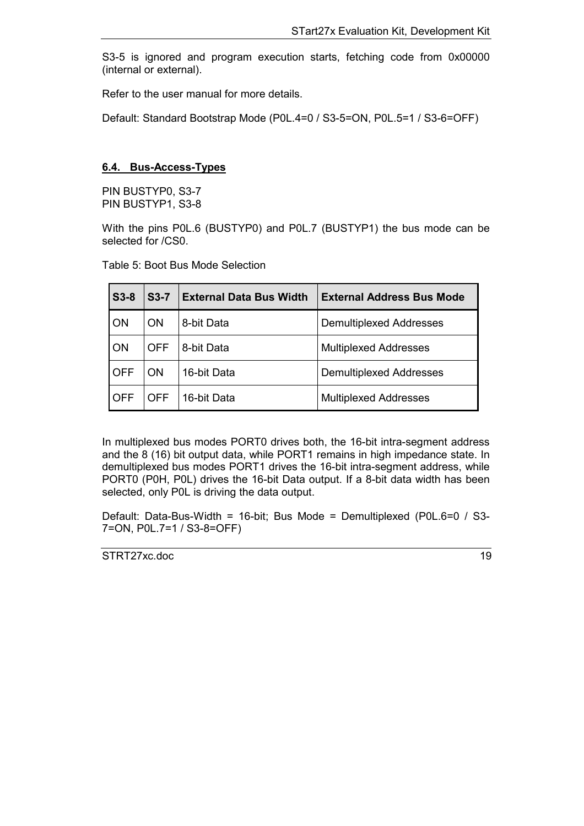<span id="page-18-0"></span>S3-5 is ignored and program execution starts, fetching code from 0x00000 (internal or external).

Refer to the user manual for more details.

Default: Standard Bootstrap Mode (P0L.4=0 / S3-5=ON, P0L.5=1 / S3-6=OFF)

#### **6.4. Bus-Access-Types**

PIN BUSTYP0, S3-7 PIN BUSTYP1, S3-8

With the pins P0L.6 (BUSTYP0) and P0L.7 (BUSTYP1) the bus mode can be selected for /CS0.

Table 5: Boot Bus Mode Selection

| $S3-8$     | $S3-7$     | <b>External Data Bus Width</b> | <b>External Address Bus Mode</b> |
|------------|------------|--------------------------------|----------------------------------|
| ON         | <b>ON</b>  | 8-bit Data                     | <b>Demultiplexed Addresses</b>   |
| ON         | <b>OFF</b> | 8-bit Data                     | <b>Multiplexed Addresses</b>     |
| <b>OFF</b> | <b>ON</b>  | 16-bit Data                    | <b>Demultiplexed Addresses</b>   |
| <b>OFF</b> | OFF        | 16-bit Data                    | <b>Multiplexed Addresses</b>     |

In multiplexed bus modes PORT0 drives both, the 16-bit intra-segment address and the 8 (16) bit output data, while PORT1 remains in high impedance state. In demultiplexed bus modes PORT1 drives the 16-bit intra-segment address, while PORT0 (P0H, P0L) drives the 16-bit Data output. If a 8-bit data width has been selected, only P0L is driving the data output.

Default: Data-Bus-Width = 16-bit; Bus Mode = Demultiplexed (P0L.6=0 / S3- 7=ON, P0L.7=1 / S3-8=OFF)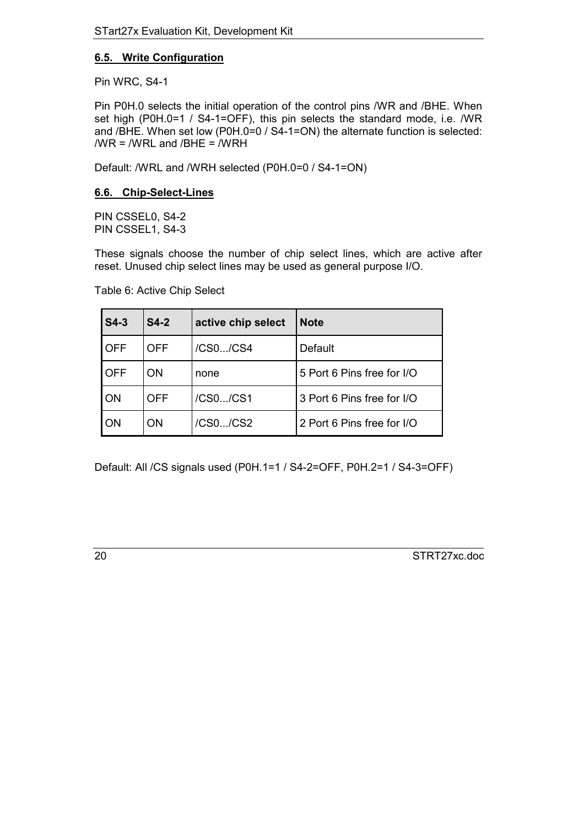# <span id="page-19-0"></span>**6.5. Write Configuration**

Pin WRC, S4-1

Pin P0H.0 selects the initial operation of the control pins /WR and /BHE. When set high (P0H.0=1 / S4-1=OFF), this pin selects the standard mode, i.e. /WR and /BHE. When set low (P0H.0=0 / S4-1=ON) the alternate function is selected: /WR = /WRL and /BHE = /WRH

Default: /WRL and /WRH selected (P0H.0=0 / S4-1=ON)

## **6.6. Chip-Select-Lines**

PIN CSSEL0, S4-2 PIN CSSEL1, S4-3

These signals choose the number of chip select lines, which are active after reset. Unused chip select lines may be used as general purpose I/O.

| $S4-3$     | $S4-2$     | active chip select | <b>Note</b>                |
|------------|------------|--------------------|----------------------------|
| <b>OFF</b> | <b>OFF</b> | /CS0/CS4           | Default                    |
| <b>OFF</b> | OΝ         | none               | 5 Port 6 Pins free for I/O |
| <b>ON</b>  | <b>OFF</b> | /CS0/CS1           | 3 Port 6 Pins free for I/O |
| <b>ON</b>  | ON         | /CS0/CS2           | 2 Port 6 Pins free for I/O |

Table 6: Active Chip Select

Default: All /CS signals used (P0H.1=1 / S4-2=OFF, P0H.2=1 / S4-3=OFF)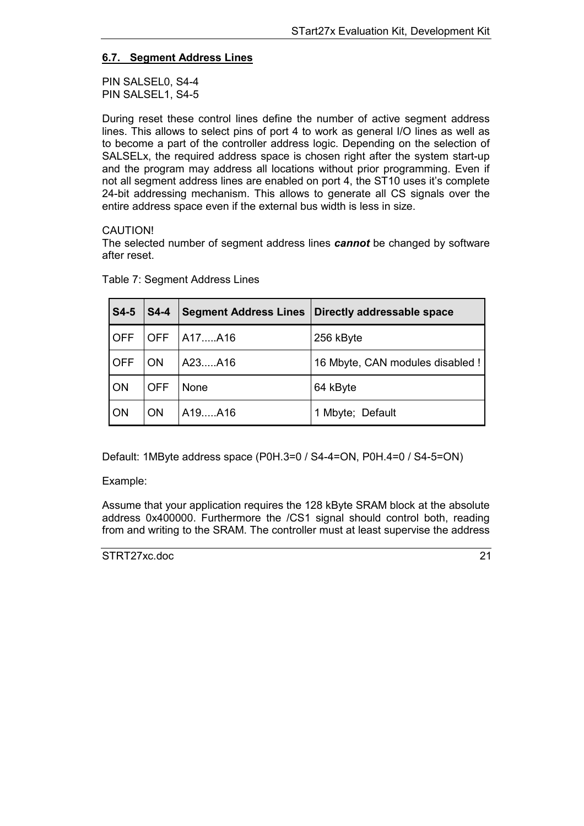# <span id="page-20-0"></span>**6.7. Segment Address Lines**

PIN SALSEL0, S4-4 PIN SALSEL1, S4-5

During reset these control lines define the number of active segment address lines. This allows to select pins of port 4 to work as general I/O lines as well as to become a part of the controller address logic. Depending on the selection of SALSELx, the required address space is chosen right after the system start-up and the program may address all locations without prior programming. Even if not all segment address lines are enabled on port 4, the ST10 uses it's complete 24-bit addressing mechanism. This allows to generate all CS signals over the entire address space even if the external bus width is less in size.

## CAUTION!

The selected number of segment address lines *cannot* be changed by software after reset.

| $\vert$ S4-5 | $\mathsf{S4-4}$ | <b>Segment Address Lines</b> | Directly addressable space       |
|--------------|-----------------|------------------------------|----------------------------------|
| <b>OFF</b>   | <b>OFF</b>      | A17A16                       | 256 kByte                        |
| <b>OFF</b>   | <b>ON</b>       | A23A16                       | 16 Mbyte, CAN modules disabled ! |
| ON           | <b>OFF</b>      | None                         | 64 kByte                         |
| ON           | ON.             | A19A16                       | 1 Mbyte; Default                 |

Table 7: Segment Address Lines

Default: 1MByte address space (P0H.3=0 / S4-4=ON, P0H.4=0 / S4-5=ON)

#### Example:

Assume that your application requires the 128 kByte SRAM block at the absolute address 0x400000. Furthermore the /CS1 signal should control both, reading from and writing to the SRAM. The controller must at least supervise the address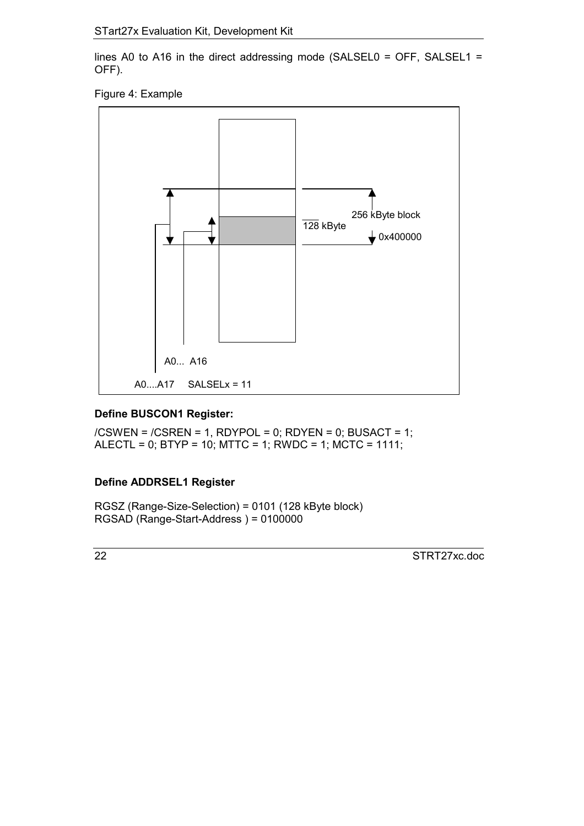lines A0 to A16 in the direct addressing mode (SALSEL0 = OFF, SALSEL1 = OFF).





# **Define BUSCON1 Register:**

/CSWEN = /CSREN = 1, RDYPOL = 0; RDYEN = 0; BUSACT = 1; ALECTL = 0; BTYP = 10; MTTC = 1; RWDC = 1; MCTC = 1111;

# **Define ADDRSEL1 Register**

RGSZ (Range-Size-Selection) = 0101 (128 kByte block) RGSAD (Range-Start-Address ) = 0100000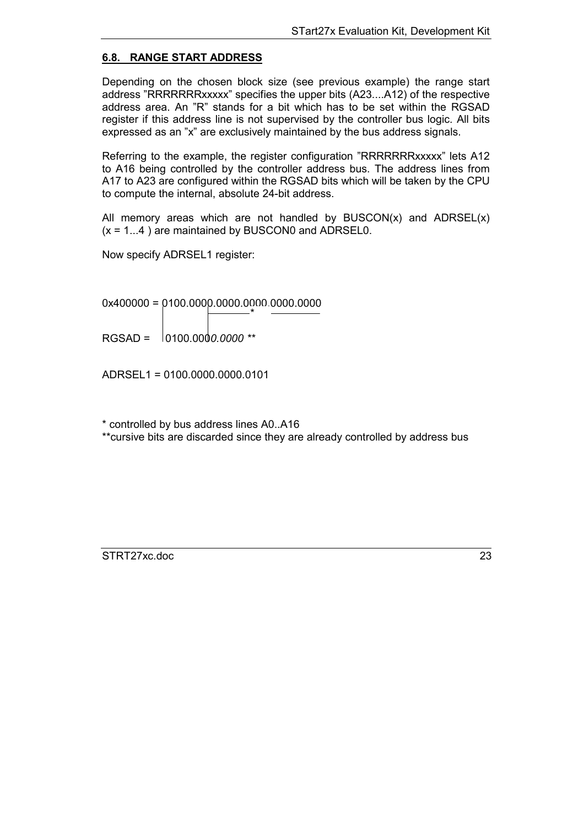## <span id="page-22-0"></span>**6.8. RANGE START ADDRESS**

Depending on the chosen block size (see previous example) the range start address "RRRRRRRxxxxx" specifies the upper bits (A23....A12) of the respective address area. An "R" stands for a bit which has to be set within the RGSAD register if this address line is not supervised by the controller bus logic. All bits expressed as an "x" are exclusively maintained by the bus address signals.

Referring to the example, the register configuration "RRRRRRRxxxxx" lets A12 to A16 being controlled by the controller address bus. The address lines from A17 to A23 are configured within the RGSAD bits which will be taken by the CPU to compute the internal, absolute 24-bit address.

All memory areas which are not handled by  $\text{BUSCON}(x)$  and  $\text{ADRSEL}(x)$  $(x = 1...4)$  are maintained by BUSCON0 and ADRSEL0.

Now specify ADRSEL1 register:

0x400000 = 0100.0000.0000.0000.0000.0000 \*

RGSAD = 0100.000*0.0000 \*\**

ADRSEL1 = 0100.0000.0000.0101

\* controlled by bus address lines A0..A16

\*\*cursive bits are discarded since they are already controlled by address bus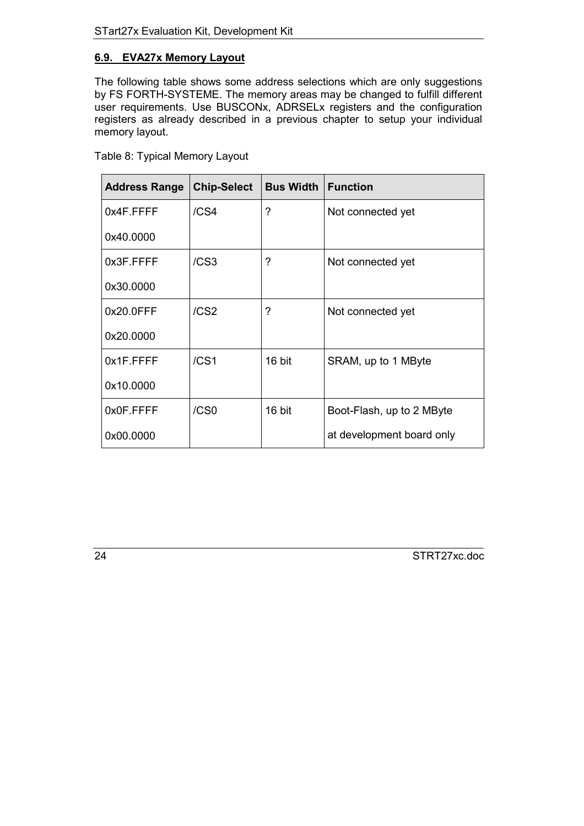# <span id="page-23-0"></span>**6.9. EVA27x Memory Layout**

The following table shows some address selections which are only suggestions by FS FORTH-SYSTEME. The memory areas may be changed to fulfill different user requirements. Use BUSCONx, ADRSELx registers and the configuration registers as already described in a previous chapter to setup your individual memory layout.

| <b>Address Range</b> | <b>Chip-Select</b> | <b>Bus Width</b> | <b>Function</b>           |
|----------------------|--------------------|------------------|---------------------------|
| 0x4F.FFFF            | /CS <sub>4</sub>   | ?                | Not connected yet         |
| 0x40.0000            |                    |                  |                           |
| 0x3F.FFFF            | /CS <sub>3</sub>   | ?                | Not connected yet         |
| 0x30.0000            |                    |                  |                           |
| 0x20.0FFF            | /CS <sub>2</sub>   | ?                | Not connected yet         |
| 0x20.0000            |                    |                  |                           |
| 0x1F.FFFF            | /CS1               | 16 bit           | SRAM, up to 1 MByte       |
| 0x10.0000            |                    |                  |                           |
| 0x0F.FFFF            | /CS0               | 16 bit           | Boot-Flash, up to 2 MByte |
| 0x00.0000            |                    |                  | at development board only |

Table 8: Typical Memory Layout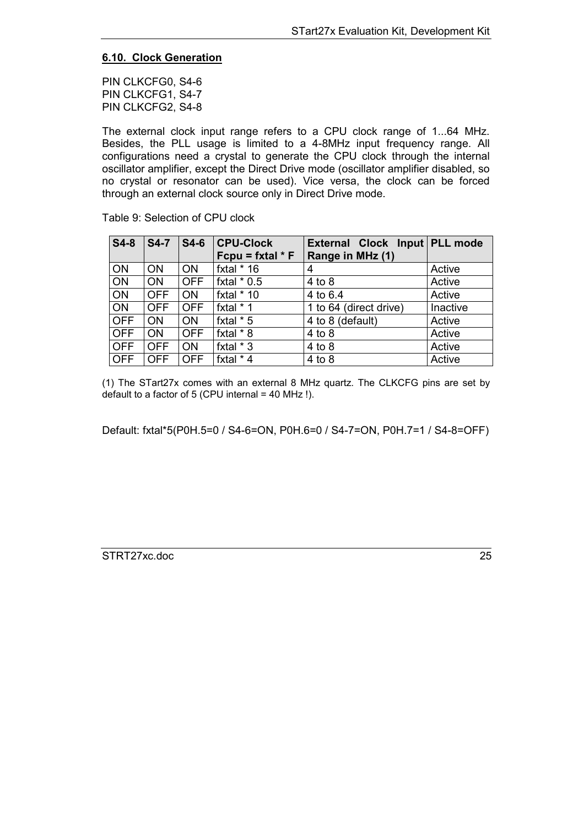## <span id="page-24-0"></span>**6.10. Clock Generation**

PIN CLKCFG0, S4-6 PIN CLKCFG1, S4-7 PIN CLKCFG2, S4-8

The external clock input range refers to a CPU clock range of 1...64 MHz. Besides, the PLL usage is limited to a 4-8MHz input frequency range. All configurations need a crystal to generate the CPU clock through the internal oscillator amplifier, except the Direct Drive mode (oscillator amplifier disabled, so no crystal or resonator can be used). Vice versa, the clock can be forced through an external clock source only in Direct Drive mode.

| $S4-8$     | $S4-7$     | $S4-6$     | <b>CPU-Clock</b><br>Fcpu = fxtal $*$ F | External Clock Input PLL mode<br>Range in MHz (1) |          |
|------------|------------|------------|----------------------------------------|---------------------------------------------------|----------|
|            |            |            |                                        |                                                   |          |
| ON         | <b>ON</b>  | <b>ON</b>  | fxtal $*$ 16                           | 4                                                 | Active   |
| ON         | <b>ON</b>  | <b>OFF</b> | fxtal $*$ 0.5                          | $4$ to $8$                                        | Active   |
| <b>ON</b>  | <b>OFF</b> | <b>ON</b>  | fxtal $*$ 10                           | 4 to 6.4                                          | Active   |
| <b>ON</b>  | <b>OFF</b> | <b>OFF</b> | fxtal * 1                              | 1 to 64 (direct drive)                            | Inactive |
| <b>OFF</b> | <b>ON</b>  | <b>ON</b>  | fxtal $*$ 5                            | 4 to 8 (default)                                  | Active   |
| <b>OFF</b> | <b>ON</b>  | <b>OFF</b> | fxtal * 8                              | $4$ to $8$                                        | Active   |
| <b>OFF</b> | <b>OFF</b> | <b>ON</b>  | fxtal $*$ 3                            | $4$ to $8$                                        | Active   |
| <b>OFF</b> | <b>OFF</b> | <b>OFF</b> | fxtal * 4                              | 4 to 8                                            | Active   |

Table 9: Selection of CPU clock

(1) The STart27x comes with an external 8 MHz quartz. The CLKCFG pins are set by default to a factor of 5 (CPU internal = 40 MHz !).

Default: fxtal\*5(P0H.5=0 / S4-6=ON, P0H.6=0 / S4-7=ON, P0H.7=1 / S4-8=OFF)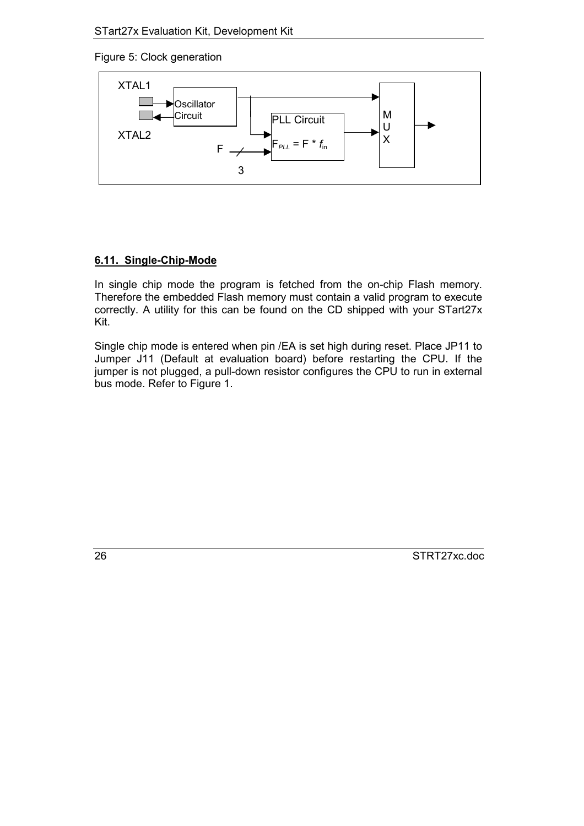<span id="page-25-0"></span>Figure 5: Clock generation



# **6.11. Single-Chip-Mode**

In single chip mode the program is fetched from the on-chip Flash memory. Therefore the embedded Flash memory must contain a valid program to execute correctly. A utility for this can be found on the CD shipped with your STart27x Kit.

Single chip mode is entered when pin /EA is set high during reset. Place JP11 to Jumper J11 (Default at evaluation board) before restarting the CPU. If the jumper is not plugged, a pull-down resistor configures the CPU to run in external bus mode. Refer to Figure 1.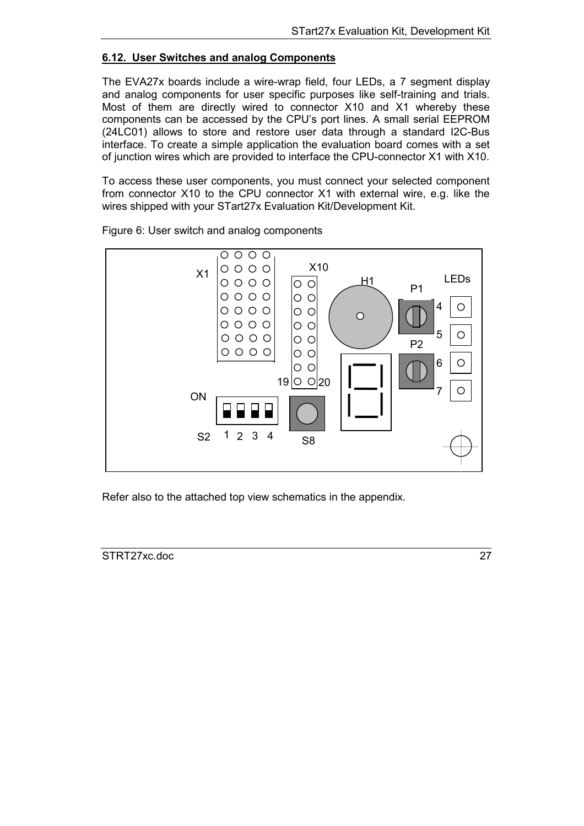#### <span id="page-26-0"></span>**6.12. User Switches and analog Components**

The EVA27x boards include a wire-wrap field, four LEDs, a 7 segment display and analog components for user specific purposes like self-training and trials. Most of them are directly wired to connector X10 and X1 whereby these components can be accessed by the CPU's port lines. A small serial EEPROM (24LC01) allows to store and restore user data through a standard I2C-Bus interface. To create a simple application the evaluation board comes with a set of junction wires which are provided to interface the CPU-connector X1 with X10.

To access these user components, you must connect your selected component from connector X10 to the CPU connector X1 with external wire, e.g. like the wires shipped with your STart27x Evaluation Kit/Development Kit.



Figure 6: User switch and analog components

Refer also to the attached top view schematics in the appendix.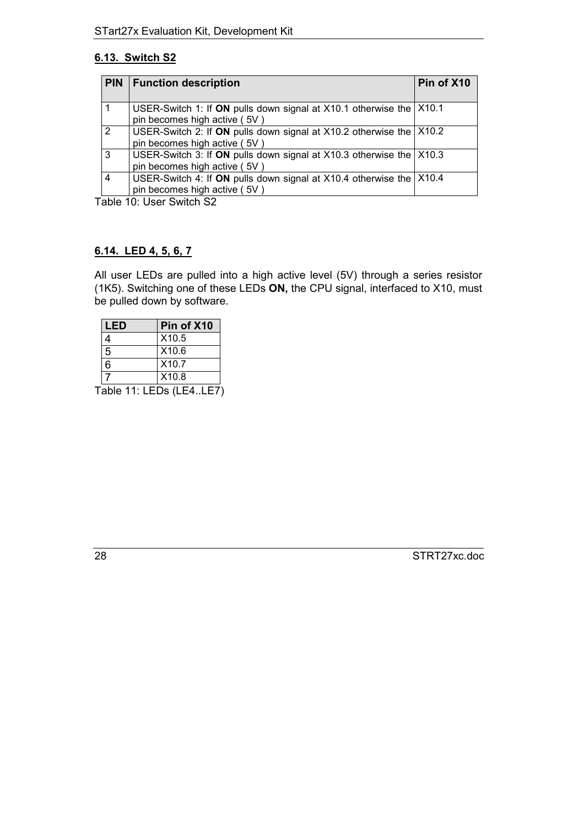# <span id="page-27-0"></span>**6.13. Switch S2**

| <b>PIN</b> | <b>Function description</b>                                                                             | Pin of X10 |
|------------|---------------------------------------------------------------------------------------------------------|------------|
|            | USER-Switch 1: If ON pulls down signal at X10.1 otherwise the X10.1<br>pin becomes high active (5V)     |            |
| 2          | USER-Switch 2: If ON pulls down signal at X10.2 otherwise the   X10.2<br>pin becomes high active (5V)   |            |
| 3          | USER-Switch 3: If ON pulls down signal at $X10.3$ otherwise the $X10.3$<br>pin becomes high active (5V) |            |
| 4          | USER-Switch 4: If ON pulls down signal at X10.4 otherwise the X10.4<br>pin becomes high active (5V)     |            |

Table 10: User Switch S2

# **6.14. LED 4, 5, 6, 7**

All user LEDs are pulled into a high active level (5V) through a series resistor (1K5). Switching one of these LEDs **ON,** the CPU signal, interfaced to X10, must be pulled down by software.

| LED | Pin of X10        |
|-----|-------------------|
|     | X10.5             |
| 5   | X10.6             |
| ี   | X10.7             |
|     | X <sub>10.8</sub> |

Table 11: LEDs (LE4..LE7)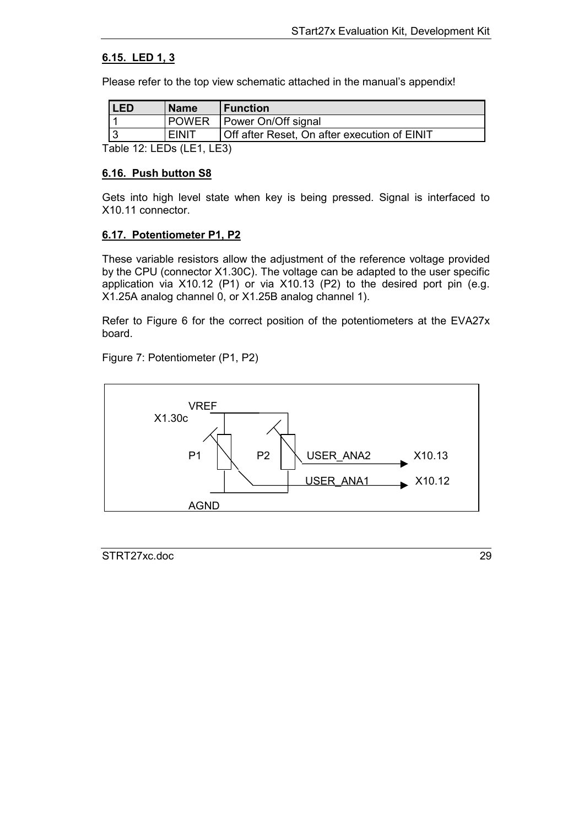# <span id="page-28-0"></span>**6.15. LED 1, 3**

Please refer to the top view schematic attached in the manual's appendix!

| 'LED | <b>Name</b>  | <b>Function</b>                              |
|------|--------------|----------------------------------------------|
|      | <b>POWER</b> | Power On/Off signal                          |
|      | <b>EINIT</b> | Off after Reset, On after execution of EINIT |

Table 12: LEDs (LE1, LE3)

#### **6.16. Push button S8**

Gets into high level state when key is being pressed. Signal is interfaced to X10.11 connector.

## **6.17. Potentiometer P1, P2**

These variable resistors allow the adjustment of the reference voltage provided by the CPU (connector X1.30C). The voltage can be adapted to the user specific application via X10.12 (P1) or via X10.13 (P2) to the desired port pin (e.g. X1.25A analog channel 0, or X1.25B analog channel 1).

Refer to Figure 6 for the correct position of the potentiometers at the EVA27x board.

Figure 7: Potentiometer (P1, P2)

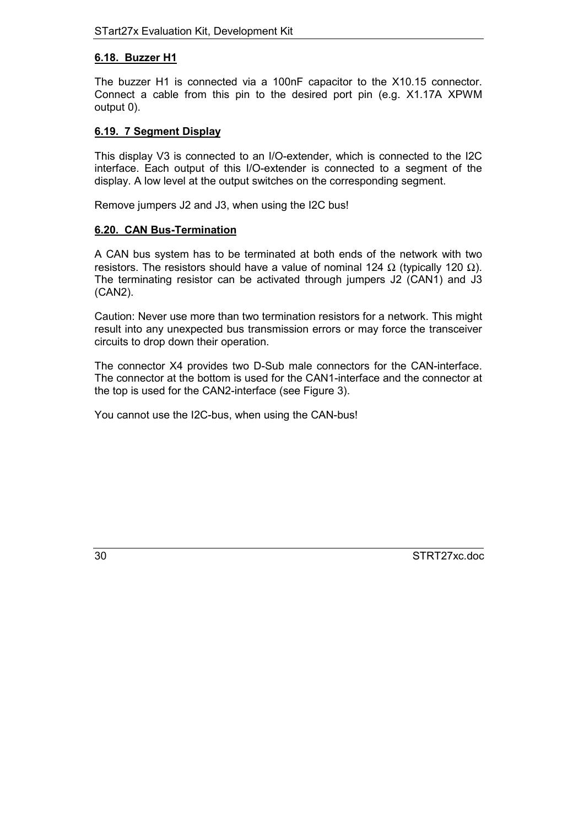#### <span id="page-29-0"></span>**6.18. Buzzer H1**

The buzzer H1 is connected via a 100nF capacitor to the X10.15 connector. Connect a cable from this pin to the desired port pin (e.g. X1.17A XPWM output 0).

## **6.19. 7 Segment Display**

This display V3 is connected to an I/O-extender, which is connected to the I2C interface. Each output of this I/O-extender is connected to a segment of the display. A low level at the output switches on the corresponding segment.

Remove jumpers J2 and J3, when using the I2C bus!

#### **6.20. CAN Bus-Termination**

A CAN bus system has to be terminated at both ends of the network with two resistors. The resistors should have a value of nominal 124 Ω (typically 120 Ω). The terminating resistor can be activated through jumpers J2 (CAN1) and J3 (CAN2).

Caution: Never use more than two termination resistors for a network. This might result into any unexpected bus transmission errors or may force the transceiver circuits to drop down their operation.

The connector X4 provides two D-Sub male connectors for the CAN-interface. The connector at the bottom is used for the CAN1-interface and the connector at the top is used for the CAN2-interface (see Figure 3).

You cannot use the I2C-bus, when using the CAN-bus!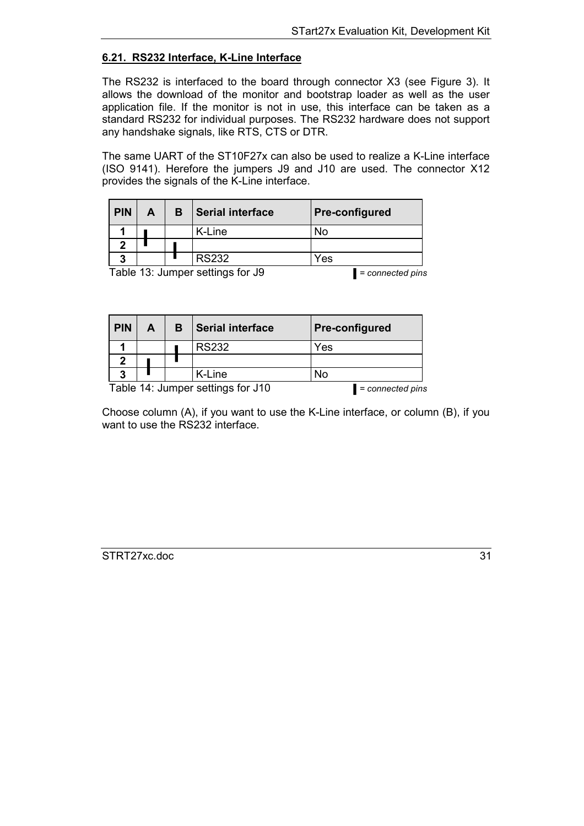# <span id="page-30-0"></span>**6.21. RS232 Interface, K-Line Interface**

The RS232 is interfaced to the board through connector X3 (see Figure 3). It allows the download of the monitor and bootstrap loader as well as the user application file. If the monitor is not in use, this interface can be taken as a standard RS232 for individual purposes. The RS232 hardware does not support any handshake signals, like RTS, CTS or DTR.

The same UART of the ST10F27x can also be used to realize a K-Line interface (ISO 9141). Herefore the jumpers J9 and J10 are used. The connector X12 provides the signals of the K-Line interface.

| <b>PIN</b> | А                                                         | в | <b>Serial interface</b> | <b>Pre-configured</b> |  |
|------------|-----------------------------------------------------------|---|-------------------------|-----------------------|--|
|            |                                                           |   | K-Line                  | No                    |  |
|            |                                                           |   |                         |                       |  |
| 3          |                                                           |   | <b>RS232</b>            | Yes                   |  |
|            | $T_2$ blo 12: lumper cottings for $I_0$<br>aannaatad nina |   |                         |                       |  |

Table 13: Jumper settings for J9 *= connected pins*

| <b>PIN</b>                        | A | в | <b>Serial interface</b> | <b>Pre-configured</b> |
|-----------------------------------|---|---|-------------------------|-----------------------|
|                                   |   |   | <b>RS232</b>            | Yes                   |
|                                   |   |   |                         |                       |
| ?                                 |   |   | K-Line                  | No                    |
| Table 14: Jumper settings for J10 |   |   |                         | = connected pins      |

Choose column (A), if you want to use the K-Line interface, or column (B), if you want to use the RS232 interface.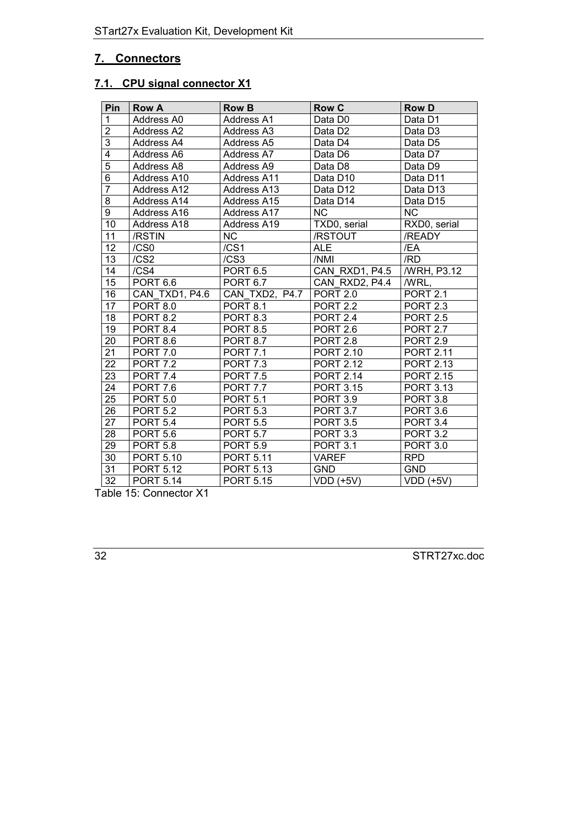# <span id="page-31-0"></span>**7. Connectors**

# **7.1. CPU signal connector X1**

| Pin             | <b>Row A</b>          | <b>Row B</b>       | <b>Row C</b>         | <b>Row D</b>         |
|-----------------|-----------------------|--------------------|----------------------|----------------------|
| $\mathbf{1}$    | Address A0            | Address A1         | Data D0              | Data D1              |
| $\overline{2}$  | Address A2            | Address A3         | Data D <sub>2</sub>  | Data D <sub>3</sub>  |
| $\overline{3}$  | Address A4            | Address A5         | Data D4              | Data D <sub>5</sub>  |
| 4               | Address A6            | Address A7         | Data D6              | Data D7              |
| $\overline{5}$  | Address A8            | Address A9         | Data D8              | Data D9              |
| $\overline{6}$  | Address A10           | <b>Address A11</b> | Data D <sub>10</sub> | Data D11             |
| $\overline{7}$  | Address A12           | Address A13        | Data D12             | Data D <sub>13</sub> |
| 8               | <b>Address A14</b>    | Address A15        | Data D14             | Data D15             |
| $\overline{9}$  | Address A16           | Address A17        | <b>NC</b>            | <b>NC</b>            |
| 10              | Address A18           | Address A19        | TXD0, serial         | RXD0, serial         |
| 11              | /RSTIN                | <b>NC</b>          | /RSTOUT              | /READY               |
| 12              | /CS0                  | /CS1               | <b>ALE</b>           | /EA                  |
| 13              | /CS2                  | /CS3               | /NMI                 | /RD                  |
| 14              | /CS <sub>4</sub>      | <b>PORT 6.5</b>    | CAN RXD1, P4.5       | /WRH, P3.12          |
| 15              | <b>PORT 6.6</b>       | PORT 6.7           | CAN RXD2, P4.4       | /WRL,                |
| 16              | CAN TXD1, P4.6        | CAN TXD2, P4.7     | <b>PORT 2.0</b>      | <b>PORT 2.1</b>      |
| 17              | <b>PORT 8.0</b>       | <b>PORT 8.1</b>    | <b>PORT 2.2</b>      | <b>PORT 2.3</b>      |
| 18              | <b>PORT 8.2</b>       | <b>PORT 8.3</b>    | <b>PORT 2.4</b>      | <b>PORT 2.5</b>      |
| 19              | <b>PORT 8.4</b>       | <b>PORT 8.5</b>    | <b>PORT 2.6</b>      | <b>PORT 2.7</b>      |
| 20              | <b>PORT 8.6</b>       | <b>PORT 8.7</b>    | <b>PORT 2.8</b>      | <b>PORT 2.9</b>      |
| 21              | <b>PORT 7.0</b>       | <b>PORT 7.1</b>    | <b>PORT 2.10</b>     | <b>PORT 2.11</b>     |
| $\overline{22}$ | <b>PORT 7.2</b>       | <b>PORT 7.3</b>    | <b>PORT 2.12</b>     | <b>PORT 2.13</b>     |
| 23              | <b>PORT 7.4</b>       | <b>PORT 7.5</b>    | <b>PORT 2.14</b>     | <b>PORT 2.15</b>     |
| 24              | PORT 7.6              | <b>PORT 7.7</b>    | <b>PORT 3.15</b>     | <b>PORT 3.13</b>     |
| 25              | <b>PORT 5.0</b>       | <b>PORT 5.1</b>    | <b>PORT 3.9</b>      | <b>PORT 3.8</b>      |
| 26              | <b>PORT 5.2</b>       | <b>PORT 5.3</b>    | <b>PORT 3.7</b>      | <b>PORT 3.6</b>      |
| 27              | <b>PORT 5.4</b>       | <b>PORT 5.5</b>    | <b>PORT 3.5</b>      | <b>PORT 3.4</b>      |
| 28              | <b>PORT 5.6</b>       | <b>PORT 5.7</b>    | <b>PORT 3.3</b>      | <b>PORT 3.2</b>      |
| 29              | PORT $5.\overline{8}$ | <b>PORT 5.9</b>    | <b>PORT 3.1</b>      | <b>PORT 3.0</b>      |
| 30              | <b>PORT 5.10</b>      | <b>PORT 5.11</b>   | <b>VAREF</b>         | <b>RPD</b>           |
| 31              | <b>PORT 5.12</b>      | <b>PORT 5.13</b>   | <b>GND</b>           | <b>GND</b>           |
| $\overline{32}$ | <b>PORT 5.14</b>      | <b>PORT 5.15</b>   | $VDD$ (+5V)          | $VDD$ (+5V)          |

Table 15: Connector X1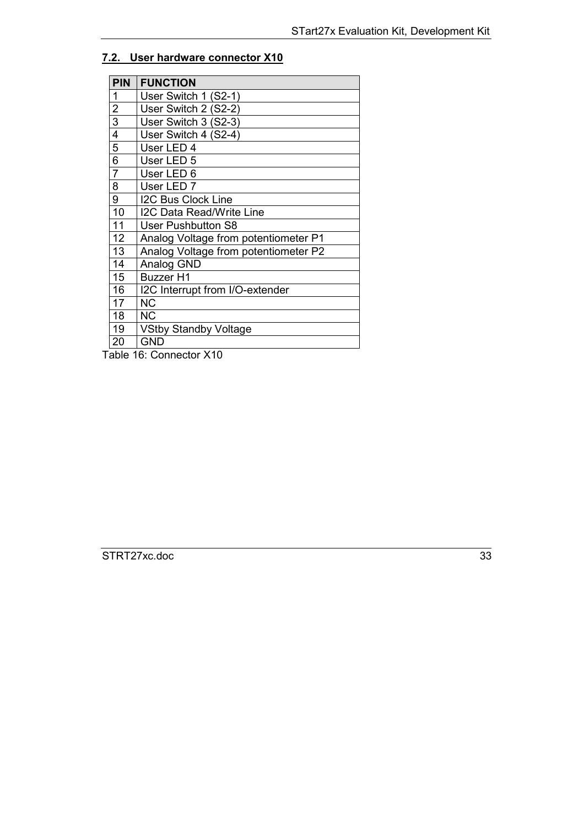#### <span id="page-32-0"></span>**7.2. User hardware connector X10**

| PIN            | <b>FUNCTION</b>                      |
|----------------|--------------------------------------|
| 1              | User Switch 1 (S2-1)                 |
| $\overline{2}$ | User Switch 2 (S2-2)                 |
| 3              | User Switch 3 (S2-3)                 |
| 4              | User Switch 4 (S2-4)                 |
| 5              | User LED 4                           |
| 6              | User LED 5                           |
| $\overline{7}$ | User LED 6                           |
| 8              | User LED <sub>7</sub>                |
| 9              | <b>I2C Bus Clock Line</b>            |
| 10             | <b>I2C Data Read/Write Line</b>      |
| 11             | <b>User Pushbutton S8</b>            |
| 12             | Analog Voltage from potentiometer P1 |
| 13             | Analog Voltage from potentiometer P2 |
| 14             | Analog GND                           |
| 15             | <b>Buzzer H1</b>                     |
| 16             | I2C Interrupt from I/O-extender      |
| 17             | ΝC                                   |
| 18             | <b>NC</b>                            |
| 19             | <b>VStby Standby Voltage</b>         |
| 20             | <b>GND</b>                           |

Table 16: Connector X10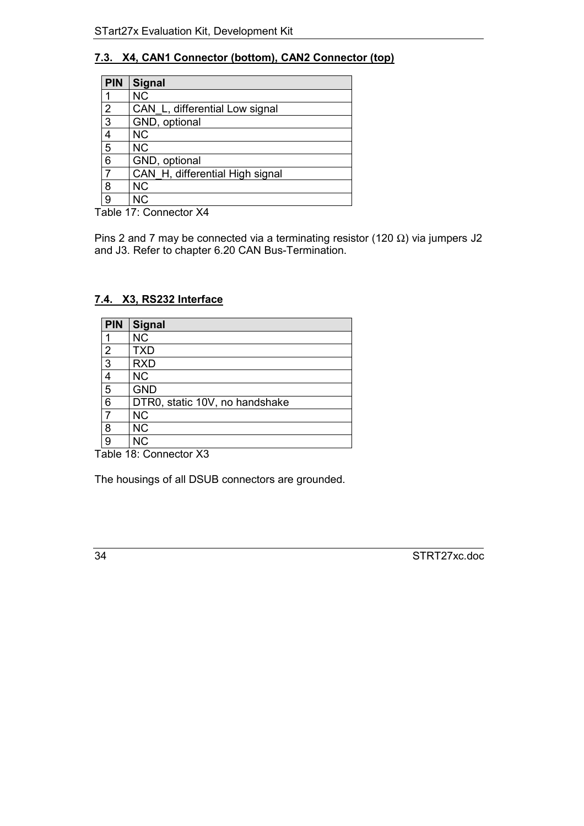# <span id="page-33-0"></span>**7.3. X4, CAN1 Connector (bottom), CAN2 Connector (top)**

| PIN            | <b>Signal</b>                   |
|----------------|---------------------------------|
|                | <b>NC</b>                       |
| $\overline{2}$ | CAN L, differential Low signal  |
| $\overline{3}$ | GND, optional                   |
| $\overline{4}$ | <b>NC</b>                       |
| $\overline{5}$ | <b>NC</b>                       |
| 6              | GND, optional                   |
| $\overline{7}$ | CAN H, differential High signal |
| $\overline{8}$ | <b>NC</b>                       |
| $\overline{9}$ | <b>NC</b>                       |

Table 17: Connector X4

Pins 2 and 7 may be connected via a terminating resistor (120  $\Omega$ ) via jumpers J2 and J3. Refer to chapter 6.20 CAN Bus-Termination.

# **7.4. X3, RS232 Interface**

| <b>PIN</b>     | Signal                         |
|----------------|--------------------------------|
|                | <b>NC</b>                      |
| $\overline{2}$ | <b>TXD</b>                     |
| $\overline{3}$ | <b>RXD</b>                     |
| 4              | <b>NC</b>                      |
| 5              | <b>GND</b>                     |
| 6              | DTR0, static 10V, no handshake |
| $\overline{7}$ | <b>NC</b>                      |
| 8              | <b>NC</b>                      |
| 9              | <b>NC</b>                      |

Table 18: Connector X3

The housings of all DSUB connectors are grounded.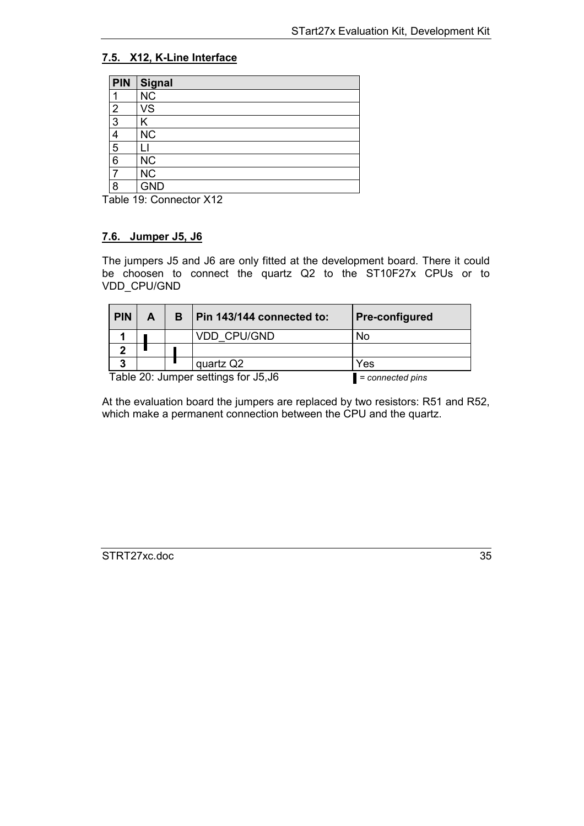# <span id="page-34-0"></span>**7.5. X12, K-Line Interface**

| <b>PIN</b>     | Signal                 |
|----------------|------------------------|
|                | <b>NC</b>              |
| $\overline{2}$ | VS                     |
| 3              | Κ                      |
| 4              | <b>NC</b>              |
| 5              |                        |
| 6              | <b>NC</b>              |
|                | $\overline{\text{NC}}$ |
| 8              | <b>GND</b>             |

Table 19: Connector X12

## **7.6. Jumper J5, J6**

The jumpers J5 and J6 are only fitted at the development board. There it could be choosen to connect the quartz Q2 to the ST10F27x CPUs or to VDD\_CPU/GND

| <b>PIN</b> | A                                                        |  | в | Pin 143/144 connected to: | <b>Pre-configured</b> |
|------------|----------------------------------------------------------|--|---|---------------------------|-----------------------|
|            |                                                          |  |   | <b>VDD CPU/GND</b>        | No                    |
|            |                                                          |  |   |                           |                       |
| 3          |                                                          |  |   | quartz Q2                 | Yes                   |
|            | Table 20: Jumper settings for J5, J6<br>= connected pins |  |   |                           |                       |

At the evaluation board the jumpers are replaced by two resistors: R51 and R52, which make a permanent connection between the CPU and the quartz.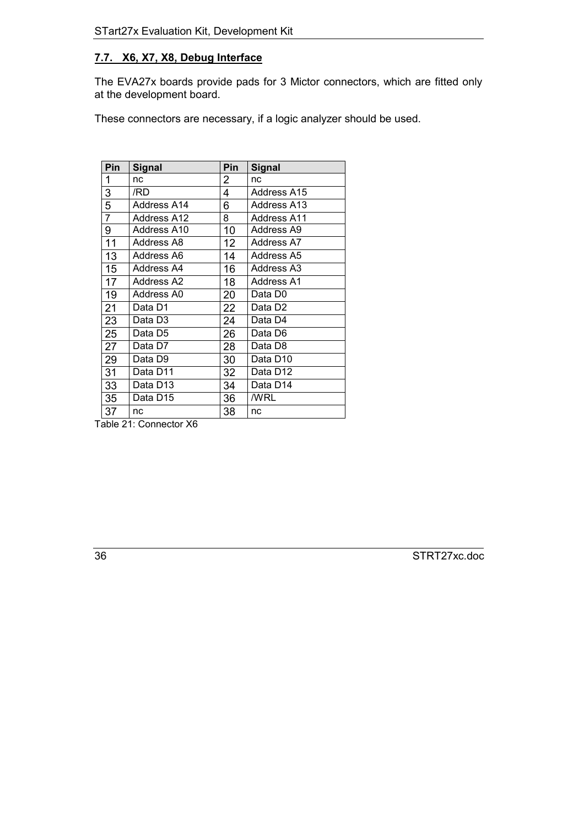# <span id="page-35-0"></span>**7.7. X6, X7, X8, Debug Interface**

The EVA27x boards provide pads for 3 Mictor connectors, which are fitted only at the development board.

These connectors are necessary, if a logic analyzer should be used.

| Pin            | <b>Signal</b> | Pin | <b>Signal</b>      |
|----------------|---------------|-----|--------------------|
| 1              | nc            | 2   | nc                 |
| 3              | /RD           | 4   | Address A15        |
| $\overline{5}$ | Address A14   | 6   | Address A13        |
| $\overline{7}$ | Address A12   | 8   | <b>Address A11</b> |
| 9              | Address A10   | 10  | Address A9         |
| 11             | Address A8    | 12  | Address A7         |
| 13             | Address A6    | 14  | Address A5         |
| 15             | Address A4    | 16  | Address A3         |
| 17             | Address A2    | 18  | Address A1         |
| 19             | Address A0    | 20  | Data D0            |
| 21             | Data D1       | 22  | Data D2            |
| 23             | Data D3       | 24  | Data D4            |
| 25             | Data D5       | 26  | Data D6            |
| 27             | Data D7       | 28  | Data D8            |
| 29             | Data D9       | 30  | Data D10           |
| 31             | Data D11      | 32  | Data D12           |
| 33             | Data D13      | 34  | Data D14           |
| 35             | Data D15      | 36  | /WRL               |
| 37             | nc            | 38  | nc                 |

Table 21: Connector X6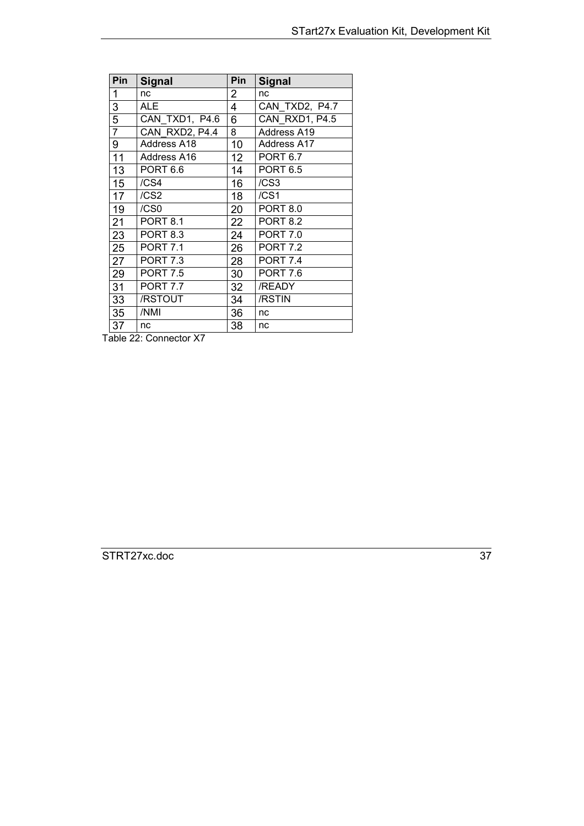| Pin | <b>Signal</b>    | Pin             | <b>Signal</b>      |
|-----|------------------|-----------------|--------------------|
| 1   | nc               | 2               | nc                 |
| 3   | <b>ALE</b>       | 4               | CAN TXD2, P4.7     |
| 5   | CAN TXD1, P4.6   | 6               | CAN RXD1, P4.5     |
| 7   | CAN RXD2, P4.4   | 8               | Address A19        |
| 9   | Address A18      | 10              | <b>Address A17</b> |
| 11  | Address A16      | 12 <sup>2</sup> | <b>PORT 6.7</b>    |
| 13  | <b>PORT 6.6</b>  | 14              | <b>PORT 6.5</b>    |
| 15  | /CS <sub>4</sub> | 16              | /CS <sub>3</sub>   |
| 17  | /CS2             | 18              | /CS <sub>1</sub>   |
| 19  | /CS0             | 20              | <b>PORT 8.0</b>    |
| 21  | <b>PORT 8.1</b>  | 22              | <b>PORT 8.2</b>    |
| 23  | <b>PORT 8.3</b>  | 24              | <b>PORT 7.0</b>    |
| 25  | <b>PORT 7.1</b>  | 26              | <b>PORT 7.2</b>    |
| 27  | <b>PORT 7.3</b>  | 28              | <b>PORT 7.4</b>    |
| 29  | <b>PORT 7.5</b>  | 30              | <b>PORT 7.6</b>    |
| 31  | <b>PORT 7.7</b>  | 32              | /READY             |
| 33  | /RSTOUT          | 34              | /RSTIN             |
| 35  | /NMI             | 36              | nc                 |
| 37  | nc               | 38              | nc                 |

Table 22: Connector X7

STRT27xc.doc 37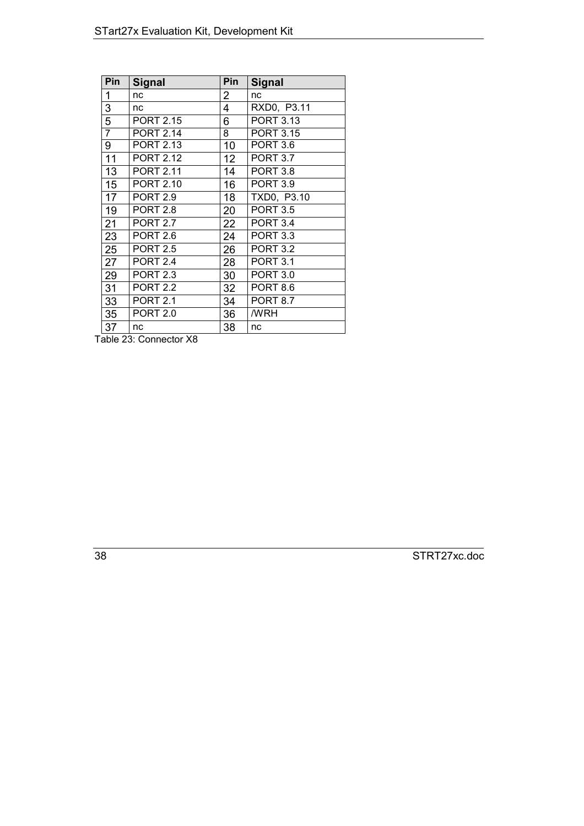| Pin            | <b>Signal</b>    | Pin             | <b>Signal</b>    |
|----------------|------------------|-----------------|------------------|
| 1              | nc               | $\overline{2}$  | nc               |
| 3              | nc               | 4               | RXD0, P3.11      |
| $\overline{5}$ | <b>PORT 2.15</b> | 6               | <b>PORT 3.13</b> |
| $\overline{7}$ | <b>PORT 2.14</b> | 8               | <b>PORT 3.15</b> |
| 9              | <b>PORT 2.13</b> | 10              | <b>PORT 3.6</b>  |
| 11             | <b>PORT 2.12</b> | 12 <sup>2</sup> | <b>PORT 3.7</b>  |
| 13             | <b>PORT 2.11</b> | 14              | <b>PORT 3.8</b>  |
| 15             | <b>PORT 2.10</b> | 16              | <b>PORT 3.9</b>  |
| 17             | <b>PORT 2.9</b>  | 18              | TXD0, P3.10      |
| 19             | <b>PORT 2.8</b>  | 20              | <b>PORT 3.5</b>  |
| 21             | <b>PORT 2.7</b>  | 22              | <b>PORT 3.4</b>  |
| 23             | <b>PORT 2.6</b>  | 24              | <b>PORT 3.3</b>  |
| 25             | <b>PORT 2.5</b>  | 26              | <b>PORT 3.2</b>  |
| 27             | <b>PORT 2.4</b>  | 28              | <b>PORT 3.1</b>  |
| 29             | <b>PORT 2.3</b>  | 30              | <b>PORT 3.0</b>  |
| 31             | <b>PORT 2.2</b>  | 32              | <b>PORT 8.6</b>  |
| 33             | <b>PORT 2.1</b>  | 34              | <b>PORT 8.7</b>  |
| 35             | <b>PORT 2.0</b>  | 36              | /WRH             |
| 37             | nc               | 38              | nc               |

Table 23: Connector X8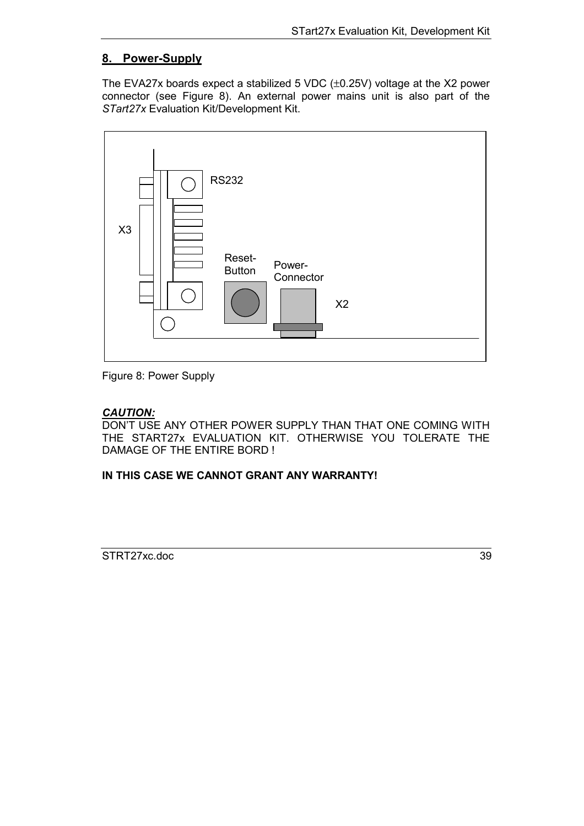# <span id="page-38-0"></span>**8. Power-Supply**

The EVA27x boards expect a stabilized 5 VDC (±0.25V) voltage at the X2 power connector (see Figure 8). An external power mains unit is also part of the *STart27x* Evaluation Kit/Development Kit.



Figure 8: Power Supply

# *CAUTION:*

DON'T USE ANY OTHER POWER SUPPLY THAN THAT ONE COMING WITH THE START27x EVALUATION KIT. OTHERWISE YOU TOLERATE THE DAMAGE OF THE ENTIRE BORD !

**IN THIS CASE WE CANNOT GRANT ANY WARRANTY!**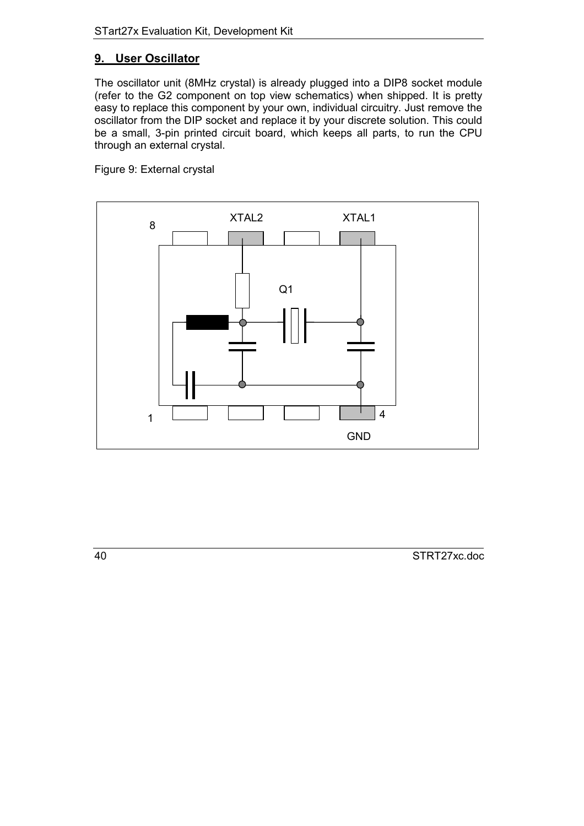# <span id="page-39-0"></span>**9. User Oscillator**

The oscillator unit (8MHz crystal) is already plugged into a DIP8 socket module (refer to the G2 component on top view schematics) when shipped. It is pretty easy to replace this component by your own, individual circuitry. Just remove the oscillator from the DIP socket and replace it by your discrete solution. This could be a small, 3-pin printed circuit board, which keeps all parts, to run the CPU through an external crystal.

Figure 9: External crystal

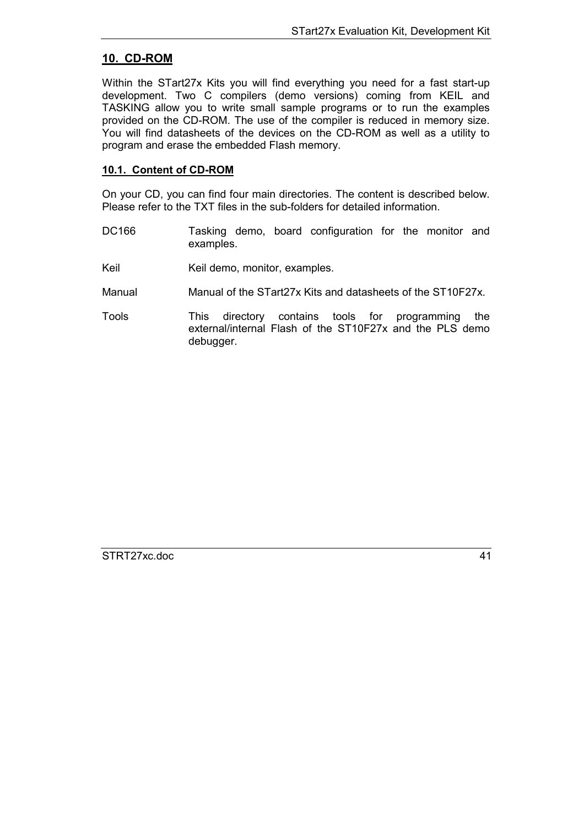## <span id="page-40-0"></span>**10. CD-ROM**

Within the STart27x Kits you will find everything you need for a fast start-up development. Two C compilers (demo versions) coming from KEIL and TASKING allow you to write small sample programs or to run the examples provided on the CD-ROM. The use of the compiler is reduced in memory size. You will find datasheets of the devices on the CD-ROM as well as a utility to program and erase the embedded Flash memory.

#### **10.1. Content of CD-ROM**

On your CD, you can find four main directories. The content is described below. Please refer to the TXT files in the sub-folders for detailed information.

- DC166 Tasking demo, board configuration for the monitor and examples.
- Keil Keil demo, monitor, examples.
- Manual Manual of the STart27x Kits and datasheets of the ST10F27x.
- Tools This directory contains tools for programming the external/internal Flash of the ST10F27x and the PLS demo debugger.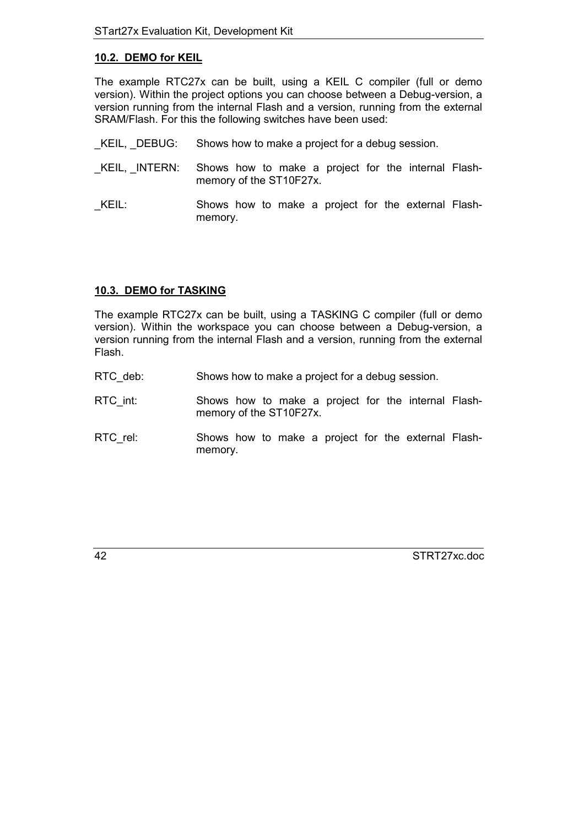## <span id="page-41-0"></span>**10.2. DEMO for KEIL**

The example RTC27x can be built, using a KEIL C compiler (full or demo version). Within the project options you can choose between a Debug-version, a version running from the internal Flash and a version, running from the external SRAM/Flash. For this the following switches have been used:

- \_KEIL, \_DEBUG: Shows how to make a project for a debug session.
- \_KEIL, \_INTERN: Shows how to make a project for the internal Flashmemory of the ST10F27x.
- KEIL: Shows how to make a project for the external Flashmemory.

# **10.3. DEMO for TASKING**

The example RTC27x can be built, using a TASKING C compiler (full or demo version). Within the workspace you can choose between a Debug-version, a version running from the internal Flash and a version, running from the external Flash.

- RTC deb: Shows how to make a project for a debug session.
- RTC int: Shows how to make a project for the internal Flashmemory of the ST10F27x.
- RTC\_rel: Shows how to make a project for the external Flashmemory.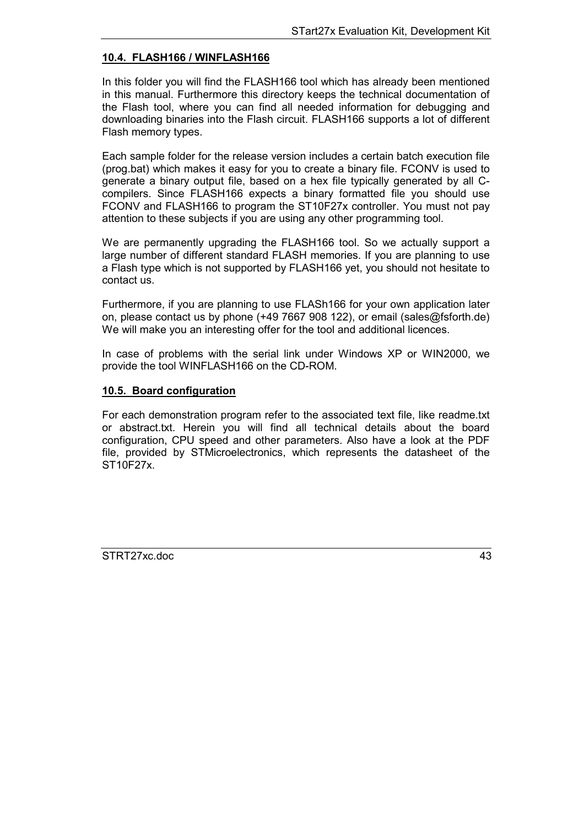## <span id="page-42-0"></span>**10.4. FLASH166 / WINFLASH166**

In this folder you will find the FLASH166 tool which has already been mentioned in this manual. Furthermore this directory keeps the technical documentation of the Flash tool, where you can find all needed information for debugging and downloading binaries into the Flash circuit. FLASH166 supports a lot of different Flash memory types.

Each sample folder for the release version includes a certain batch execution file (prog.bat) which makes it easy for you to create a binary file. FCONV is used to generate a binary output file, based on a hex file typically generated by all Ccompilers. Since FLASH166 expects a binary formatted file you should use FCONV and FLASH166 to program the ST10F27x controller. You must not pay attention to these subjects if you are using any other programming tool.

We are permanently upgrading the FLASH166 tool. So we actually support a large number of different standard FLASH memories. If you are planning to use a Flash type which is not supported by FLASH166 yet, you should not hesitate to contact us.

Furthermore, if you are planning to use FLASh166 for your own application later on, please contact us by phone (+49 7667 908 122), or email (sales@fsforth.de) We will make you an interesting offer for the tool and additional licences.

In case of problems with the serial link under Windows XP or WIN2000, we provide the tool WINFLASH166 on the CD-ROM.

#### **10.5. Board configuration**

For each demonstration program refer to the associated text file, like readme.txt or abstract.txt. Herein you will find all technical details about the board configuration, CPU speed and other parameters. Also have a look at the PDF file, provided by STMicroelectronics, which represents the datasheet of the ST10F27x.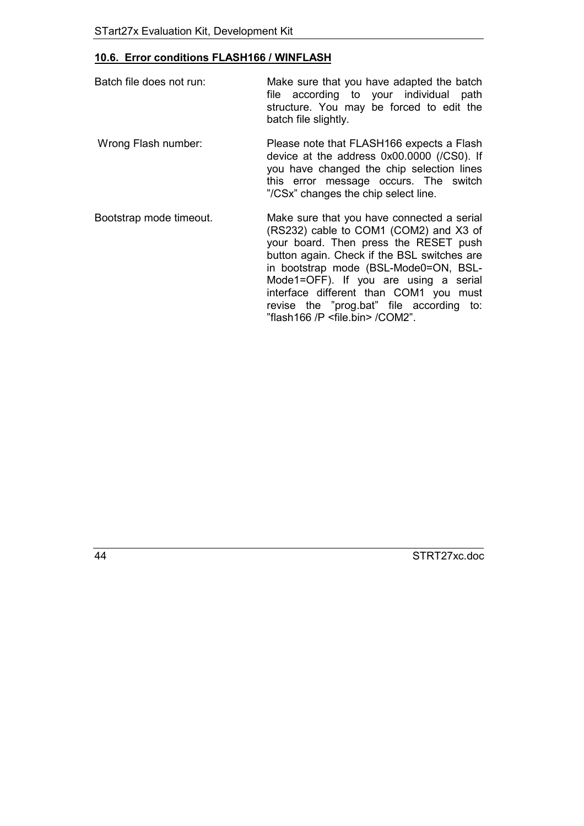# <span id="page-43-0"></span>**10.6. Error conditions FLASH166 / WINFLASH**

| Batch file does not run: | Make sure that you have adapted the batch<br>file according to your individual<br>path<br>structure. You may be forced to edit the<br>batch file slightly.                                                            |
|--------------------------|-----------------------------------------------------------------------------------------------------------------------------------------------------------------------------------------------------------------------|
| Wrong Flash number:      | Please note that FLASH166 expects a Flash<br>device at the address 0x00.0000 (/CS0). If<br>you have changed the chip selection lines<br>this error message occurs. The switch<br>"/CSx" changes the chip select line. |
| Rootetran mode timeout   | Make sure that you have connected a serial                                                                                                                                                                            |

Bootstrap mode timeout. Make sure that you have connected a serial (RS232) cable to COM1 (COM2) and X3 of your board. Then press the RESET push button again. Check if the BSL switches are in bootstrap mode (BSL-Mode0=ON, BSL-Mode1=OFF). If you are using a serial interface different than COM1 you must revise the "prog.bat" file according to: "flash166 /P <file.bin> /COM2".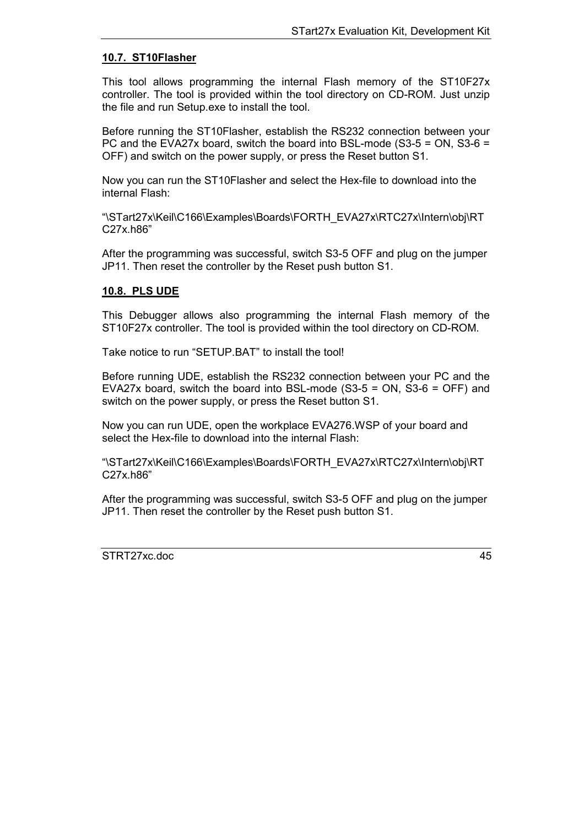#### <span id="page-44-0"></span>**10.7. ST10Flasher**

This tool allows programming the internal Flash memory of the ST10F27x controller. The tool is provided within the tool directory on CD-ROM. Just unzip the file and run Setup.exe to install the tool.

Before running the ST10Flasher, establish the RS232 connection between your PC and the EVA27x board, switch the board into BSL-mode (S3-5 = ON, S3-6 = OFF) and switch on the power supply, or press the Reset button S1.

Now you can run the ST10Flasher and select the Hex-file to download into the internal Flash:

"\STart27x\Keil\C166\Examples\Boards\FORTH\_EVA27x\RTC27x\Intern\obj\RT C27x.h86"

After the programming was successful, switch S3-5 OFF and plug on the jumper JP11. Then reset the controller by the Reset push button S1.

#### **10.8. PLS UDE**

This Debugger allows also programming the internal Flash memory of the ST10F27x controller. The tool is provided within the tool directory on CD-ROM.

Take notice to run "SETUP.BAT" to install the tool!

Before running UDE, establish the RS232 connection between your PC and the EVA27x board, switch the board into BSL-mode (S3-5 = ON, S3-6 = OFF) and switch on the power supply, or press the Reset button S1.

Now you can run UDE, open the workplace EVA276.WSP of your board and select the Hex-file to download into the internal Flash:

"\STart27x\Keil\C166\Examples\Boards\FORTH\_EVA27x\RTC27x\Intern\obj\RT C27x.h86"

After the programming was successful, switch S3-5 OFF and plug on the jumper JP11. Then reset the controller by the Reset push button S1.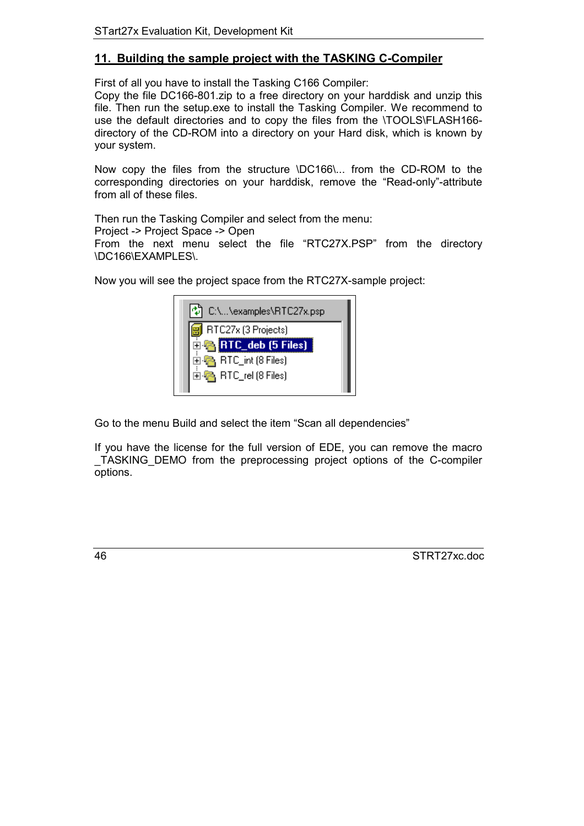# <span id="page-45-0"></span>**11. Building the sample project with the TASKING C-Compiler**

First of all you have to install the Tasking C166 Compiler:

Copy the file DC166-801.zip to a free directory on your harddisk and unzip this file. Then run the setup.exe to install the Tasking Compiler. We recommend to use the default directories and to copy the files from the \TOOLS\FLASH166 directory of the CD-ROM into a directory on your Hard disk, which is known by your system.

Now copy the files from the structure \DC166\... from the CD-ROM to the corresponding directories on your harddisk, remove the "Read-only"-attribute from all of these files.

Then run the Tasking Compiler and select from the menu:

Project -> Project Space -> Open

From the next menu select the file "RTC27X.PSP" from the directory \DC166\EXAMPLES\.

Now you will see the project space from the RTC27X-sample project:



Go to the menu Build and select the item "Scan all dependencies"

If you have the license for the full version of EDE, you can remove the macro \_TASKING\_DEMO from the preprocessing project options of the C-compiler options.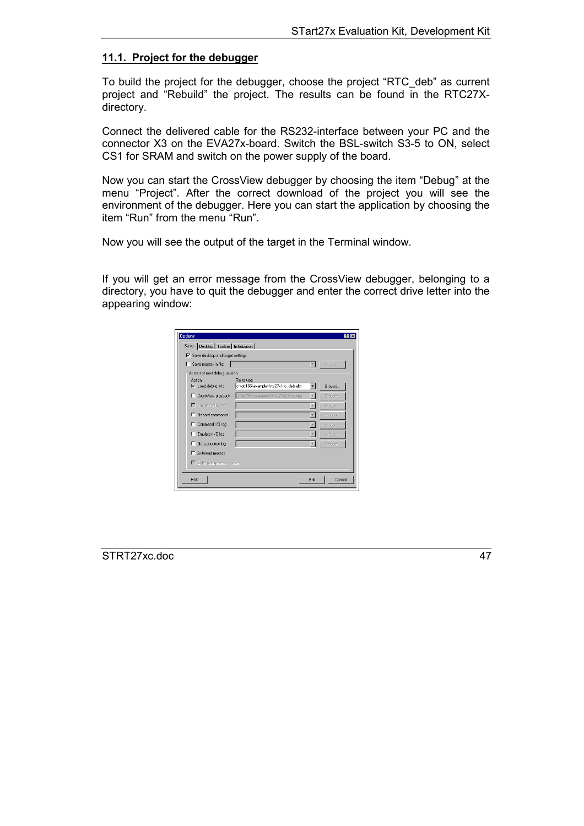#### <span id="page-46-0"></span>**11.1. Project for the debugger**

To build the project for the debugger, choose the project "RTC\_deb" as current project and "Rebuild" the project. The results can be found in the RTC27Xdirectory.

Connect the delivered cable for the RS232-interface between your PC and the connector X3 on the EVA27x-board. Switch the BSL-switch S3-5 to ON, select CS1 for SRAM and switch on the power supply of the board.

Now you can start the CrossView debugger by choosing the item "Debug" at the menu "Project". After the correct download of the project you will see the environment of the debugger. Here you can start the application by choosing the item "Run" from the menu "Run".

Now you will see the output of the target in the Terminal window.

If you will get an error message from the CrossView debugger, belonging to a directory, you have to quit the debugger and enter the correct drive letter into the appearing window:

| <b>Options</b>                             |                                                      |                          |               |
|--------------------------------------------|------------------------------------------------------|--------------------------|---------------|
| Save   Desktop   Toolbar   Initialization  |                                                      |                          |               |
| $\nabla$ Save desktop and target settings  |                                                      |                          |               |
| Save macros in file:<br>⊓                  |                                                      | $\overline{\phantom{a}}$ | Browse        |
| At start of next debug session             |                                                      |                          |               |
| <b>Action:</b><br>$\nabla$ Load debug info | File to use:<br>c:\dc166\examples\rtc27x\rtc_deb.abs | ▼                        | <b>Browse</b> |
| CrossView playback<br>п.                   | D:\dc166\examples\RTC72423\io.cmd                    | $\overline{\phantom{m}}$ | Browse        |
| E Emulator playback                        |                                                      | $\overline{\mathbf{v}}$  | Browse        |
| Record commands<br>п                       |                                                      |                          | Browse        |
| Command I/O log<br>п                       |                                                      |                          | Browse        |
| Emulator I/O log<br>г.                     |                                                      | $\overline{\phantom{m}}$ | Brawse        |
| Gdi accesses log<br>п                      |                                                      | $\overline{\phantom{a}}$ | Browse        |
| Autoload macros                            |                                                      |                          |               |
| Enter transparency mode                    |                                                      |                          |               |
| Help                                       |                                                      | Exit                     | Cancel        |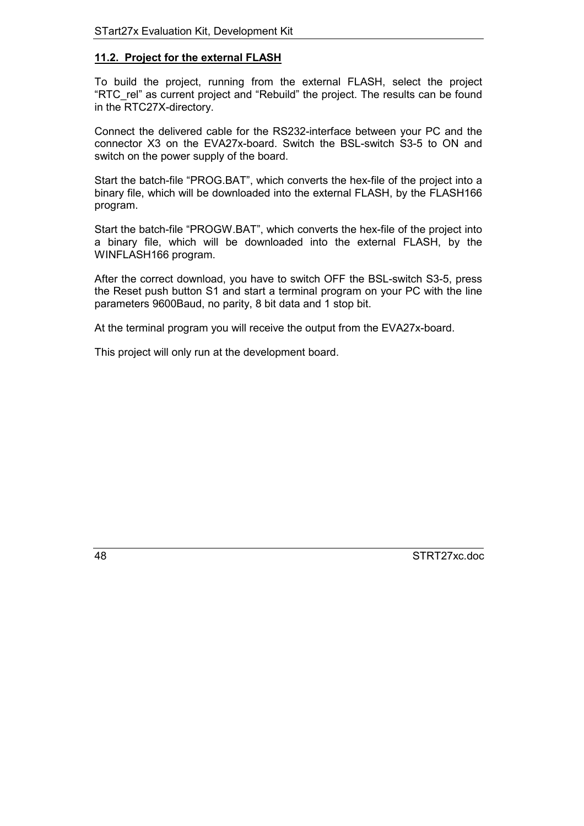#### <span id="page-47-0"></span>**11.2. Project for the external FLASH**

To build the project, running from the external FLASH, select the project "RTC\_rel" as current project and "Rebuild" the project. The results can be found in the RTC27X-directory.

Connect the delivered cable for the RS232-interface between your PC and the connector X3 on the EVA27x-board. Switch the BSL-switch S3-5 to ON and switch on the power supply of the board.

Start the batch-file "PROG.BAT", which converts the hex-file of the project into a binary file, which will be downloaded into the external FLASH, by the FLASH166 program.

Start the batch-file "PROGW.BAT", which converts the hex-file of the project into a binary file, which will be downloaded into the external FLASH, by the WINFLASH166 program.

After the correct download, you have to switch OFF the BSL-switch S3-5, press the Reset push button S1 and start a terminal program on your PC with the line parameters 9600Baud, no parity, 8 bit data and 1 stop bit.

At the terminal program you will receive the output from the EVA27x-board.

This project will only run at the development board.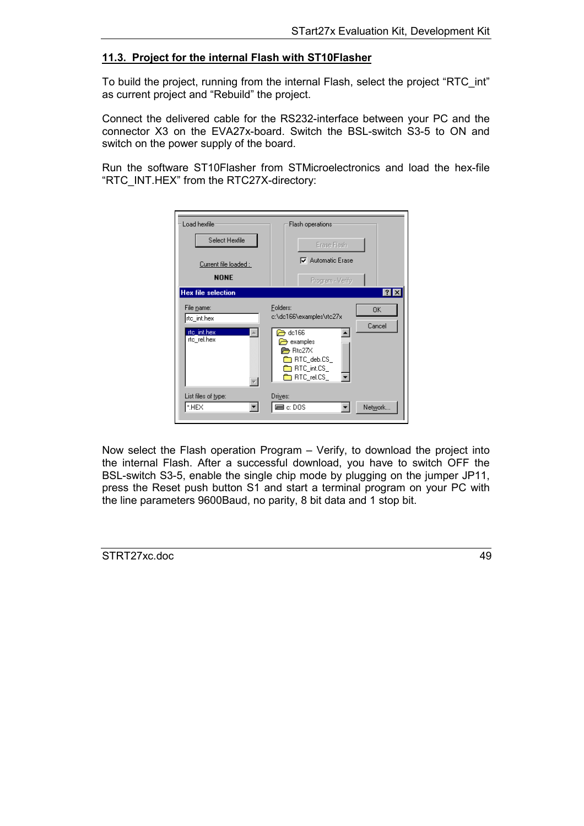#### <span id="page-48-0"></span>**11.3. Project for the internal Flash with ST10Flasher**

To build the project, running from the internal Flash, select the project "RTC\_int" as current project and "Rebuild" the project.

Connect the delivered cable for the RS232-interface between your PC and the connector X3 on the EVA27x-board. Switch the BSL-switch S3-5 to ON and switch on the power supply of the board.

Run the software ST10Flasher from STMicroelectronics and load the hex-file "RTC\_INT.HEX" from the RTC27X-directory:



Now select the Flash operation Program – Verify, to download the project into the internal Flash. After a successful download, you have to switch OFF the BSL-switch S3-5, enable the single chip mode by plugging on the jumper JP11, press the Reset push button S1 and start a terminal program on your PC with the line parameters 9600Baud, no parity, 8 bit data and 1 stop bit.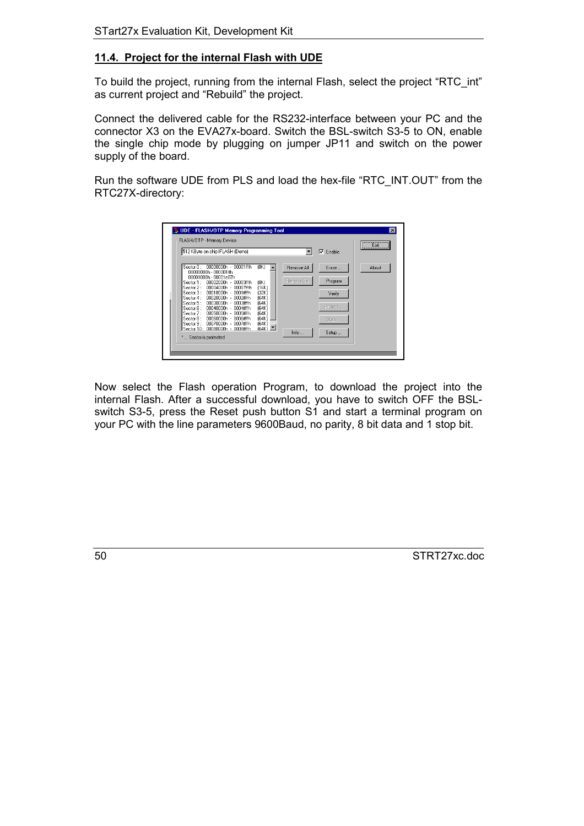#### <span id="page-49-0"></span>**11.4. Project for the internal Flash with UDE**

To build the project, running from the internal Flash, select the project "RTC\_int" as current project and "Rebuild" the project.

Connect the delivered cable for the RS232-interface between your PC and the connector X3 on the EVA27x-board. Switch the BSL-switch S3-5 to ON, enable the single chip mode by plugging on jumper JP11 and switch on the power supply of the board.

Run the software UDE from PLS and load the hex-file "RTC\_INT.OUT" from the RTC27X-directory:



Now select the Flash operation Program, to download the project into the internal Flash. After a successful download, you have to switch OFF the BSLswitch S3-5, press the Reset push button S1 and start a terminal program on your PC with the line parameters 9600Baud, no parity, 8 bit data and 1 stop bit.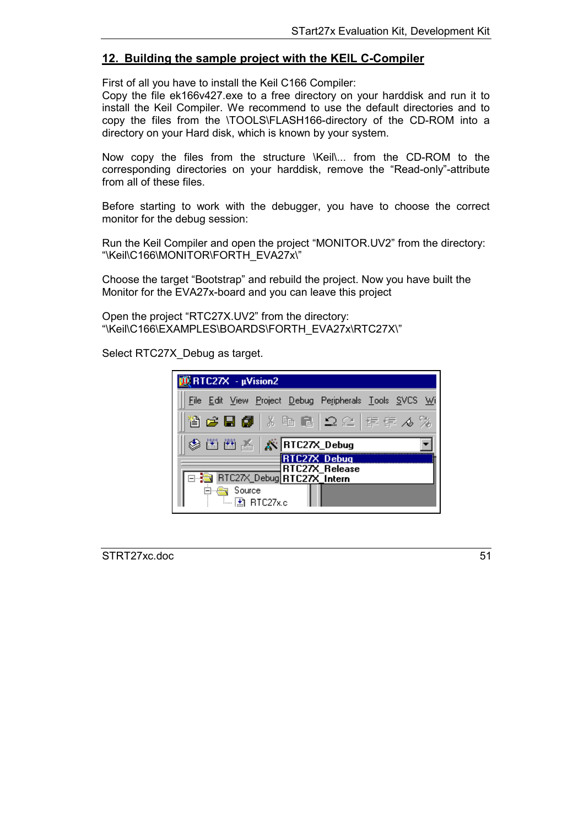# <span id="page-50-0"></span>**12. Building the sample project with the KEIL C-Compiler**

First of all you have to install the Keil C166 Compiler:

Copy the file ek166v427.exe to a free directory on your harddisk and run it to install the Keil Compiler. We recommend to use the default directories and to copy the files from the \TOOLS\FLASH166-directory of the CD-ROM into a directory on your Hard disk, which is known by your system.

Now copy the files from the structure \Keil\... from the CD-ROM to the corresponding directories on your harddisk, remove the "Read-only"-attribute from all of these files.

Before starting to work with the debugger, you have to choose the correct monitor for the debug session:

Run the Keil Compiler and open the project "MONITOR.UV2" from the directory: "\Keil\C166\MONITOR\FORTH\_EVA27x\"

Choose the target "Bootstrap" and rebuild the project. Now you have built the Monitor for the EVA27x-board and you can leave this project

Open the project "RTC27X.UV2" from the directory: "\Keil\C166\EXAMPLES\BOARDS\FORTH\_EVA27x\RTC27X\"

Select RTC27X Debug as target.

| $\sqrt{R}$ RTC27X - $\mu$ Vision2                          |
|------------------------------------------------------------|
| File Edit View Project Debug Peripherals Tools SVCS Wi     |
| 省は日旬 太阳尼 ユニ 年年ん%                                           |
| 圖圖孟   X   RTC27X_Debug                                     |
| C27X Debug<br>RTC27X Release<br>RTC27X_Debug RTC27X_Intern |
| Source<br>一团 RTC27x.c                                      |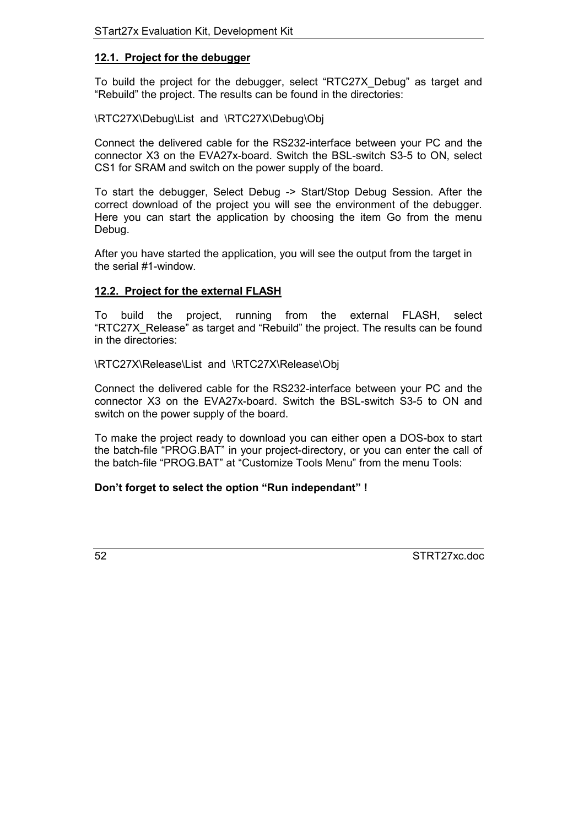#### <span id="page-51-0"></span>**12.1. Project for the debugger**

To build the project for the debugger, select "RTC27X\_Debug" as target and "Rebuild" the project. The results can be found in the directories:

#### \RTC27X\Debug\List and \RTC27X\Debug\Obj

Connect the delivered cable for the RS232-interface between your PC and the connector X3 on the EVA27x-board. Switch the BSL-switch S3-5 to ON, select CS1 for SRAM and switch on the power supply of the board.

To start the debugger, Select Debug -> Start/Stop Debug Session. After the correct download of the project you will see the environment of the debugger. Here you can start the application by choosing the item Go from the menu Debug.

After you have started the application, you will see the output from the target in the serial #1-window.

## **12.2. Project for the external FLASH**

To build the project, running from the external FLASH, select "RTC27X\_Release" as target and "Rebuild" the project. The results can be found in the directories:

\RTC27X\Release\List and \RTC27X\Release\Obj

Connect the delivered cable for the RS232-interface between your PC and the connector X3 on the EVA27x-board. Switch the BSL-switch S3-5 to ON and switch on the power supply of the board.

To make the project ready to download you can either open a DOS-box to start the batch-file "PROG.BAT" in your project-directory, or you can enter the call of the batch-file "PROG.BAT" at "Customize Tools Menu" from the menu Tools:

# **Don't forget to select the option "Run independant" !**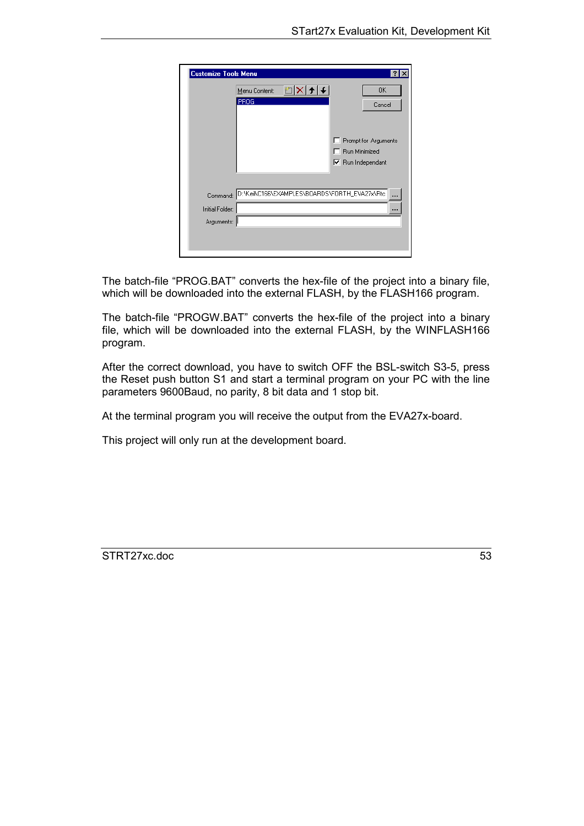| <b>Customize Tools Menu</b>   |                                                        |                                                                   |
|-------------------------------|--------------------------------------------------------|-------------------------------------------------------------------|
|                               | ಿ  ><br>Menu Content:<br><b>PROG</b>                   | 0K<br>Cancel                                                      |
|                               |                                                        | Prompt for Arguments<br>Run Minimized<br>$\nabla$ Run Independant |
| Initial Folder:<br>Arguments: | Command: D:\Keil\C166\EXAMPLES\B0ARDS\F0RTH_EVA27x\Rtc |                                                                   |

The batch-file "PROG.BAT" converts the hex-file of the project into a binary file, which will be downloaded into the external FLASH, by the FLASH166 program.

The batch-file "PROGW.BAT" converts the hex-file of the project into a binary file, which will be downloaded into the external FLASH, by the WINFLASH166 program.

After the correct download, you have to switch OFF the BSL-switch S3-5, press the Reset push button S1 and start a terminal program on your PC with the line parameters 9600Baud, no parity, 8 bit data and 1 stop bit.

At the terminal program you will receive the output from the EVA27x-board.

This project will only run at the development board.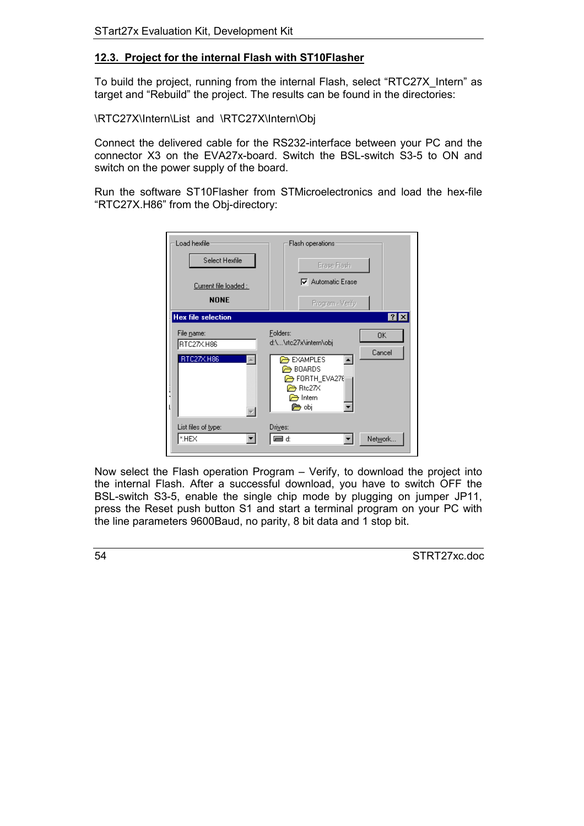## <span id="page-53-0"></span>**12.3. Project for the internal Flash with ST10Flasher**

To build the project, running from the internal Flash, select "RTC27X\_Intern" as target and "Rebuild" the project. The results can be found in the directories:

\RTC27X\Intern\List and \RTC27X\Intern\Obj

Connect the delivered cable for the RS232-interface between your PC and the connector X3 on the EVA27x-board. Switch the BSL-switch S3-5 to ON and switch on the power supply of the board.

Run the software ST10Flasher from STMicroelectronics and load the hex-file "RTC27X.H86" from the Obj-directory:

| Load hexfile                         | Flash operations                                                                                                            |
|--------------------------------------|-----------------------------------------------------------------------------------------------------------------------------|
| Select Hexfile                       | Erase Flash                                                                                                                 |
| Current file loaded :                | <b>▽</b> Automatic Erase                                                                                                    |
| <b>NONE</b>                          | Program - Verify                                                                                                            |
| <b>Hex file selection</b>            | ? x                                                                                                                         |
| File name:<br>RTC27X.H86             | Folders:<br>0K<br>d:\\rtc27x\intern\obj                                                                                     |
| RTC27X.H86                           | Cancel<br><b>EXAMPLES</b><br>$\blacktriangle$<br><b>BOARDS</b><br>FORTH_EVA276<br>$\Rightarrow$ Rtc27X<br>ntern ה⊃<br>⊯ obj |
| List files of <u>t</u> ype:<br>*.HEX | Drives:<br>ta di<br>Network.                                                                                                |

Now select the Flash operation Program – Verify, to download the project into the internal Flash. After a successful download, you have to switch OFF the BSL-switch S3-5, enable the single chip mode by plugging on jumper JP11, press the Reset push button S1 and start a terminal program on your PC with the line parameters 9600Baud, no parity, 8 bit data and 1 stop bit.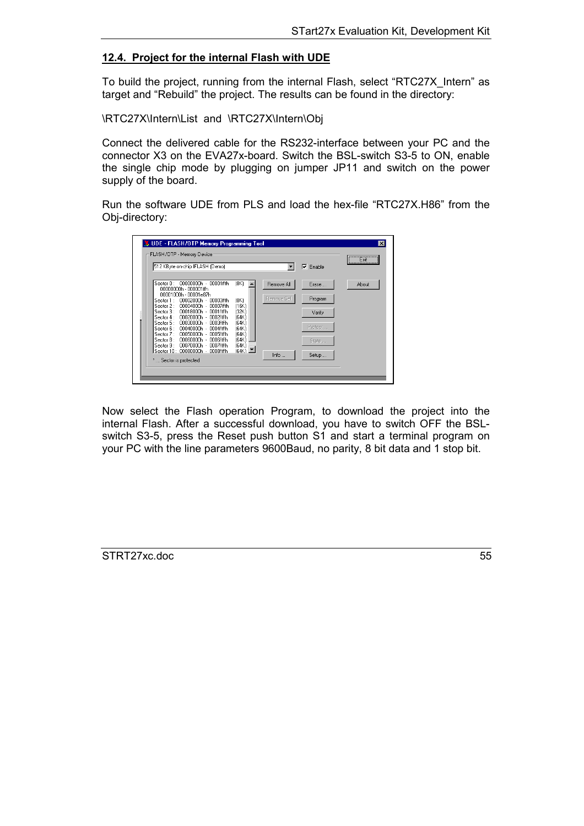#### <span id="page-54-0"></span>**12.4. Project for the internal Flash with UDE**

To build the project, running from the internal Flash, select "RTC27X\_Intern" as target and "Rebuild" the project. The results can be found in the directory:

\RTC27X\Intern\List and \RTC27X\Intern\Obj

Connect the delivered cable for the RS232-interface between your PC and the connector X3 on the EVA27x-board. Switch the BSL-switch S3-5 to ON, enable the single chip mode by plugging on jumper JP11 and switch on the power supply of the board.

Run the software UDE from PLS and load the hex-file "RTC27X.H86" from the Obj-directory:

| 512 KByte on-chip IFLASH (Demo)                                                    |                                 |             | Enable<br>⊽ | Exit<br>-------------------------- |
|------------------------------------------------------------------------------------|---------------------------------|-------------|-------------|------------------------------------|
| Sector 0:<br>00000000h - 00001fffh<br>00000000h - 000001ffh                        | [8K]                            | Remove All  | Erase       | About                              |
| 00001000h - 00001e87h                                                              |                                 | Remove Sel. | Program     |                                    |
| Sector 1:<br>$00002000h -$<br>00003fffh<br>$00004000h -$<br>Sector 2:<br>00007fffh | [8K]<br>[16K]                   |             |             |                                    |
| $00018000h -$<br>Sector 3:<br>0001ffffh                                            | (32K)                           |             | Verify      |                                    |
| $00020000h -$<br>Sector 4:<br>0002fffh                                             | [64K]                           |             |             |                                    |
| 00030000h ·<br>Sector 5:<br>0003fffh<br>Sector 6:<br>00040000h -<br>0004ffffh      | (64K)<br>[64K]                  |             | Protect     |                                    |
| Sector 7:<br>00050000h -<br>0005ffffh                                              | 164K)                           |             |             |                                    |
| Sector 8:<br>00060000h -<br>0006ffffh                                              | (64K)                           |             | State       |                                    |
| 00070000h -<br>Sector 9:<br>0007ffffh<br>Sector 10 : 00080000h -<br>0008fffh       | (64K)<br>$(64K)$ $\blacksquare$ |             |             |                                    |
|                                                                                    |                                 | Info        | Setup       |                                    |

Now select the Flash operation Program, to download the project into the internal Flash. After a successful download, you have to switch OFF the BSLswitch S3-5, press the Reset push button S1 and start a terminal program on your PC with the line parameters 9600Baud, no parity, 8 bit data and 1 stop bit.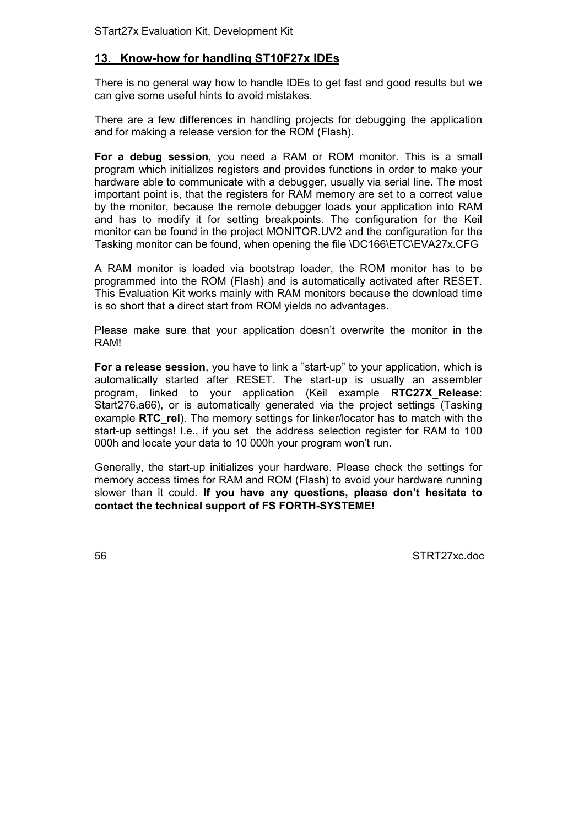# <span id="page-55-0"></span>**13. Know-how for handling ST10F27x IDEs**

There is no general way how to handle IDEs to get fast and good results but we can give some useful hints to avoid mistakes.

There are a few differences in handling projects for debugging the application and for making a release version for the ROM (Flash).

**For a debug session**, you need a RAM or ROM monitor. This is a small program which initializes registers and provides functions in order to make your hardware able to communicate with a debugger, usually via serial line. The most important point is, that the registers for RAM memory are set to a correct value by the monitor, because the remote debugger loads your application into RAM and has to modify it for setting breakpoints. The configuration for the Keil monitor can be found in the project MONITOR.UV2 and the configuration for the Tasking monitor can be found, when opening the file \DC166\ETC\EVA27x.CFG

A RAM monitor is loaded via bootstrap loader, the ROM monitor has to be programmed into the ROM (Flash) and is automatically activated after RESET. This Evaluation Kit works mainly with RAM monitors because the download time is so short that a direct start from ROM yields no advantages.

Please make sure that your application doesn't overwrite the monitor in the RAM!

**For a release session**, you have to link a "start-up" to your application, which is automatically started after RESET. The start-up is usually an assembler program, linked to your application (Keil example **RTC27X\_Release**: Start276.a66), or is automatically generated via the project settings (Tasking example **RTC** rel). The memory settings for linker/locator has to match with the start-up settings! I.e., if you set the address selection register for RAM to 100 000h and locate your data to 10 000h your program won't run.

Generally, the start-up initializes your hardware. Please check the settings for memory access times for RAM and ROM (Flash) to avoid your hardware running slower than it could. **If you have any questions, please don't hesitate to contact the technical support of FS FORTH-SYSTEME!**